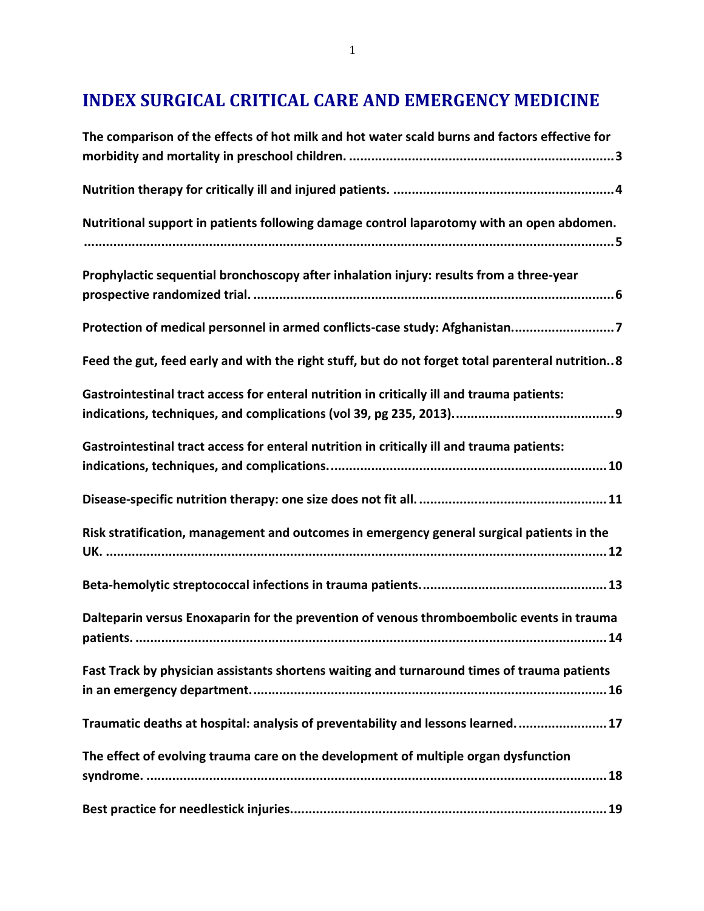## **INDEX SURGICAL CRITICAL CARE AND EMERGENCY MEDICINE**

| The comparison of the effects of hot milk and hot water scald burns and factors effective for                  |
|----------------------------------------------------------------------------------------------------------------|
|                                                                                                                |
| Nutritional support in patients following damage control laparotomy with an open abdomen.                      |
| Prophylactic sequential bronchoscopy after inhalation injury: results from a three-year                        |
| Protection of medical personnel in armed conflicts-case study: Afghanistan7                                    |
| Feed the gut, feed early and with the right stuff, but do not forget total parenteral nutrition8               |
| Gastrointestinal tract access for enteral nutrition in critically ill and trauma patients:                     |
| Gastrointestinal tract access for enteral nutrition in critically ill and trauma patients:                     |
|                                                                                                                |
| Risk stratification, management and outcomes in emergency general surgical patients in the                     |
|                                                                                                                |
| Dalteparin versus Enoxaparin for the prevention of venous thromboembolic events in trauma<br>patients.<br>. 14 |
| Fast Track by physician assistants shortens waiting and turnaround times of trauma patients                    |
| Traumatic deaths at hospital: analysis of preventability and lessons learned 17                                |
| The effect of evolving trauma care on the development of multiple organ dysfunction                            |
|                                                                                                                |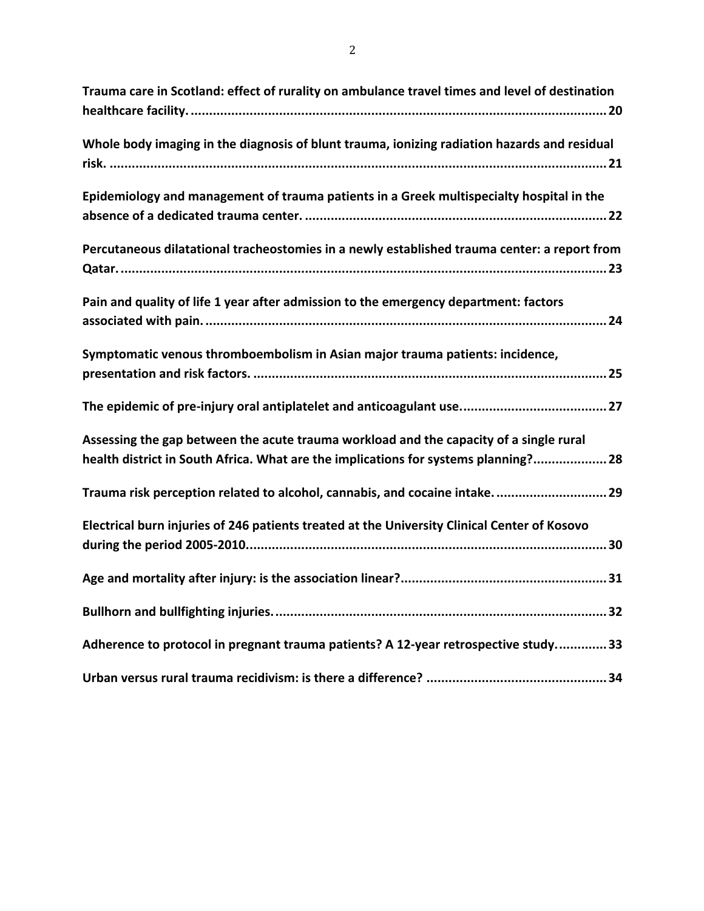| Trauma care in Scotland: effect of rurality on ambulance travel times and level of destination                                                                                |
|-------------------------------------------------------------------------------------------------------------------------------------------------------------------------------|
| Whole body imaging in the diagnosis of blunt trauma, ionizing radiation hazards and residual                                                                                  |
| Epidemiology and management of trauma patients in a Greek multispecialty hospital in the                                                                                      |
| Percutaneous dilatational tracheostomies in a newly established trauma center: a report from                                                                                  |
| Pain and quality of life 1 year after admission to the emergency department: factors                                                                                          |
| Symptomatic venous thromboembolism in Asian major trauma patients: incidence,                                                                                                 |
|                                                                                                                                                                               |
| Assessing the gap between the acute trauma workload and the capacity of a single rural<br>health district in South Africa. What are the implications for systems planning? 28 |
| Trauma risk perception related to alcohol, cannabis, and cocaine intake 29                                                                                                    |
| Electrical burn injuries of 246 patients treated at the University Clinical Center of Kosovo                                                                                  |
|                                                                                                                                                                               |
|                                                                                                                                                                               |
| Adherence to protocol in pregnant trauma patients? A 12-year retrospective study33                                                                                            |
|                                                                                                                                                                               |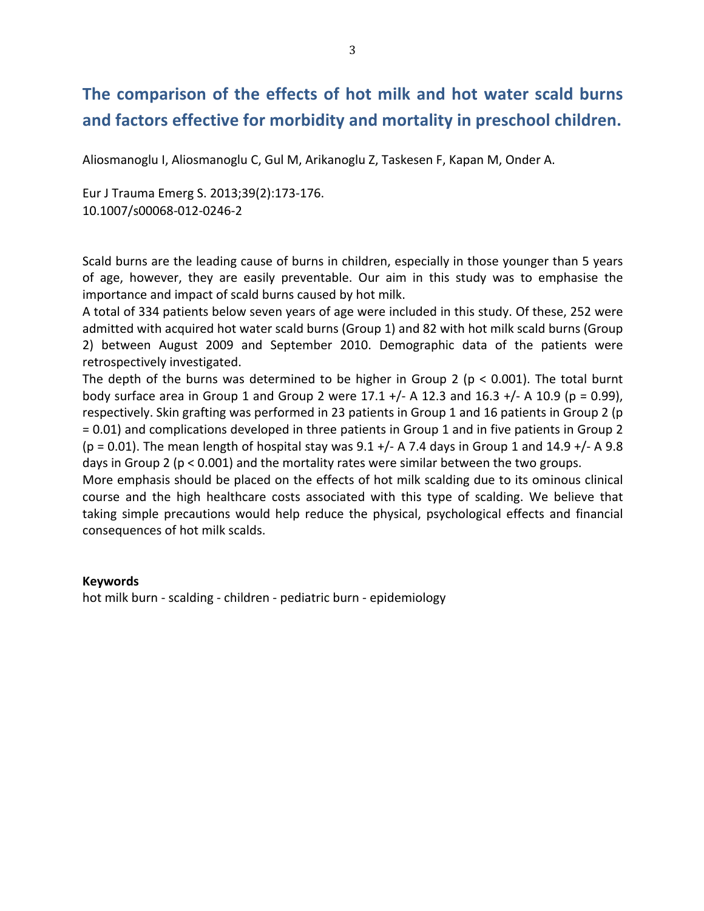## The comparison of the effects of hot milk and hot water scald burns and factors effective for morbidity and mortality in preschool children.

Aliosmanoglu I, Aliosmanoglu C, Gul M, Arikanoglu Z, Taskesen F, Kapan M, Onder A.

Eur J Trauma Emerg S. 2013;39(2):173-176. 10.1007/s00068-012-0246-2

Scald burns are the leading cause of burns in children, especially in those younger than 5 years of age, however, they are easily preventable. Our aim in this study was to emphasise the importance and impact of scald burns caused by hot milk.

A total of 334 patients below seven years of age were included in this study. Of these, 252 were admitted with acquired hot water scald burns (Group 1) and 82 with hot milk scald burns (Group 2) between August 2009 and September 2010. Demographic data of the patients were retrospectively investigated.

The depth of the burns was determined to be higher in Group 2 ( $p < 0.001$ ). The total burnt body surface area in Group 1 and Group 2 were  $17.1 +/- A 12.3$  and  $16.3 +/- A 10.9$  (p = 0.99), respectively. Skin grafting was performed in 23 patients in Group 1 and 16 patients in Group 2 (p = 0.01) and complications developed in three patients in Group 1 and in five patients in Group 2 ( $p = 0.01$ ). The mean length of hospital stay was 9.1 +/- A 7.4 days in Group 1 and 14.9 +/- A 9.8 days in Group 2 ( $p < 0.001$ ) and the mortality rates were similar between the two groups.

More emphasis should be placed on the effects of hot milk scalding due to its ominous clinical course and the high healthcare costs associated with this type of scalding. We believe that taking simple precautions would help reduce the physical, psychological effects and financial consequences of hot milk scalds.

#### **Keywords**

hot milk burn - scalding - children - pediatric burn - epidemiology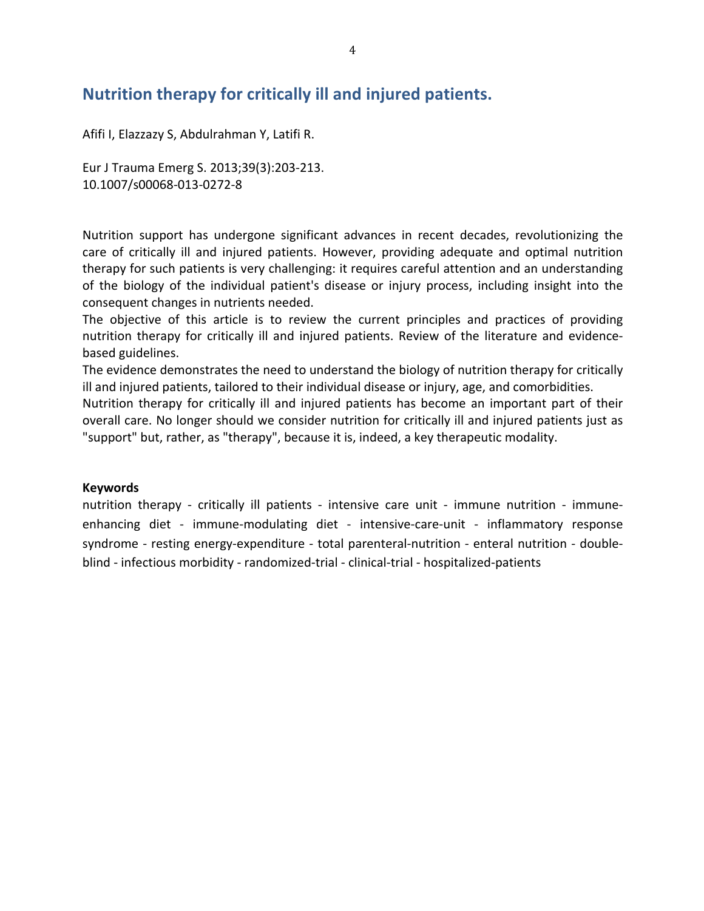### Nutrition therapy for critically ill and injured patients.

Afifi I, Elazzazy S, Abdulrahman Y, Latifi R.

Eur J Trauma Emerg S. 2013;39(3):203-213. 10.1007/s00068-013-0272-8

Nutrition support has undergone significant advances in recent decades, revolutionizing the care of critically ill and injured patients. However, providing adequate and optimal nutrition therapy for such patients is very challenging: it requires careful attention and an understanding of the biology of the individual patient's disease or injury process, including insight into the consequent changes in nutrients needed.

The objective of this article is to review the current principles and practices of providing nutrition therapy for critically ill and injured patients. Review of the literature and evidencebased guidelines.

The evidence demonstrates the need to understand the biology of nutrition therapy for critically ill and injured patients, tailored to their individual disease or injury, age, and comorbidities.

Nutrition therapy for critically ill and injured patients has become an important part of their overall care. No longer should we consider nutrition for critically ill and injured patients just as "support" but, rather, as "therapy", because it is, indeed, a key therapeutic modality.

#### **Keywords**

nutrition therapy - critically ill patients - intensive care unit - immune nutrition - immuneenhancing diet - immune-modulating diet - intensive-care-unit - inflammatory response syndrome - resting energy-expenditure - total parenteral-nutrition - enteral nutrition - doubleblind - infectious morbidity - randomized-trial - clinical-trial - hospitalized-patients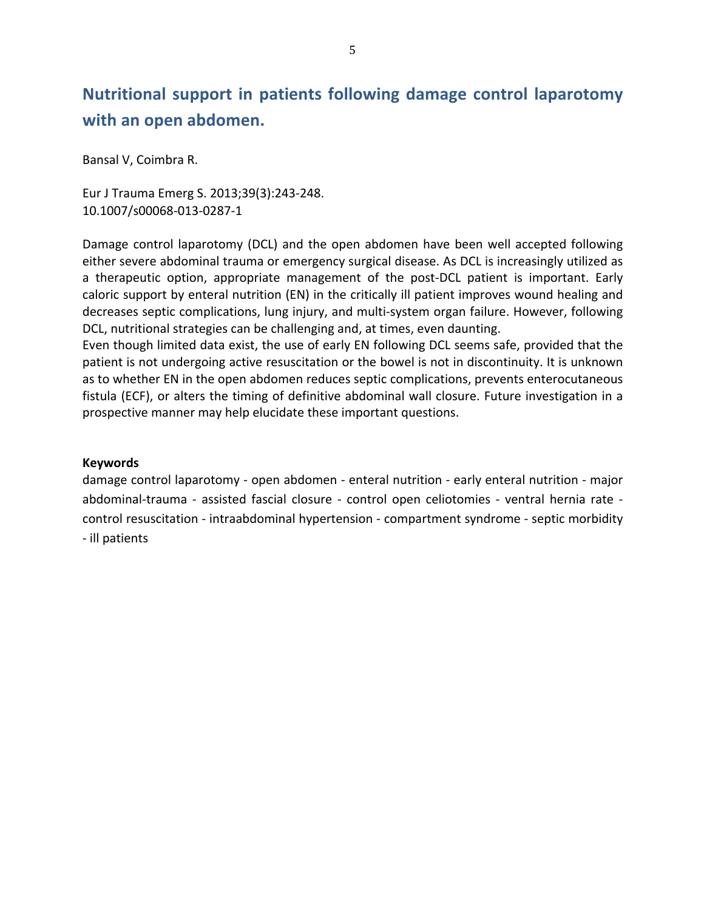## Nutritional support in patients following damage control laparotomy with an open abdomen.

Bansal V, Coimbra R.

Eur J Trauma Emerg S. 2013;39(3):243-248. 10.1007/s00068-013-0287-1

Damage control laparotomy (DCL) and the open abdomen have been well accepted following either severe abdominal trauma or emergency surgical disease. As DCL is increasingly utilized as a therapeutic option, appropriate management of the post-DCL patient is important. Early caloric support by enteral nutrition (EN) in the critically ill patient improves wound healing and decreases septic complications, lung injury, and multi-system organ failure. However, following DCL, nutritional strategies can be challenging and, at times, even daunting.

Even though limited data exist, the use of early EN following DCL seems safe, provided that the patient is not undergoing active resuscitation or the bowel is not in discontinuity. It is unknown as to whether EN in the open abdomen reduces septic complications, prevents enterocutaneous fistula (ECF), or alters the timing of definitive abdominal wall closure. Future investigation in a prospective manner may help elucidate these important questions.

#### **Keywords**

damage control laparotomy - open abdomen - enteral nutrition - early enteral nutrition - major abdominal-trauma - assisted fascial closure - control open celiotomies - ventral hernia rate control resuscitation - intraabdominal hypertension - compartment syndrome - septic morbidity - ill patients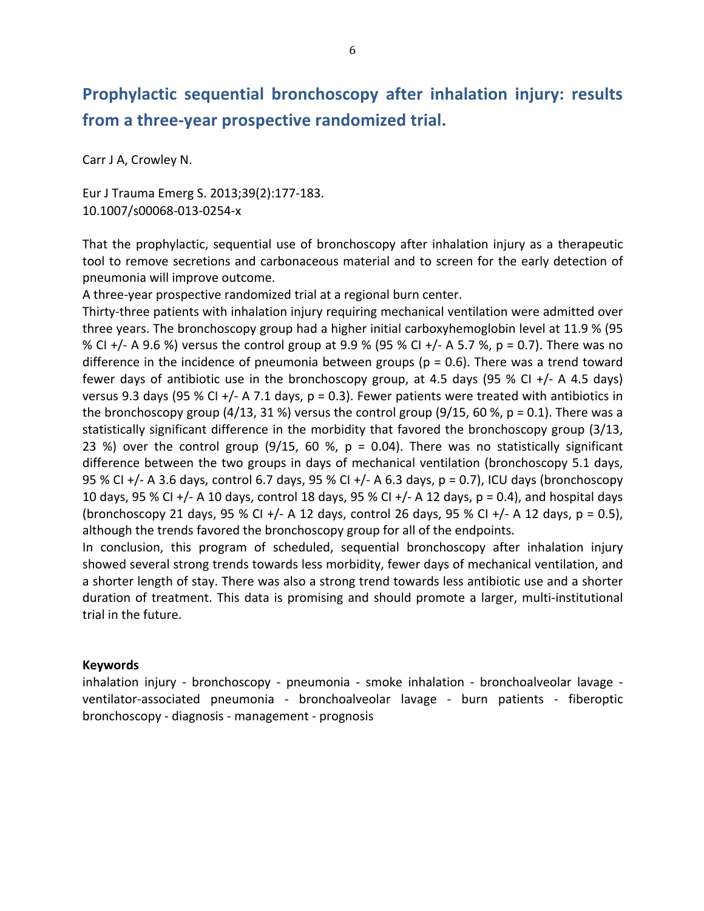## Prophylactic sequential bronchoscopy after inhalation injury: results from a three-year prospective randomized trial.

Carr J A, Crowley N.

Eur J Trauma Emerg S. 2013;39(2):177-183. 10.1007/s00068-013-0254-x

That the prophylactic, sequential use of bronchoscopy after inhalation injury as a therapeutic tool to remove secretions and carbonaceous material and to screen for the early detection of pneumonia will improve outcome.

A three-year prospective randomized trial at a regional burn center.

Thirty-three patients with inhalation injury requiring mechanical ventilation were admitted over three years. The bronchoscopy group had a higher initial carboxyhemoglobin level at 11.9 % (95 % CI +/- A 9.6 %) versus the control group at 9.9 % (95 % CI +/- A 5.7 %, p = 0.7). There was no difference in the incidence of pneumonia between groups ( $p = 0.6$ ). There was a trend toward fewer days of antibiotic use in the bronchoscopy group, at 4.5 days (95 % CI +/- A 4.5 days) versus 9.3 days (95 % Cl +/- A 7.1 days,  $p = 0.3$ ). Fewer patients were treated with antibiotics in the bronchoscopy group (4/13, 31 %) versus the control group (9/15, 60 %,  $p = 0.1$ ). There was a statistically significant difference in the morbidity that favored the bronchoscopy group (3/13, 23 %) over the control group (9/15, 60 %,  $p = 0.04$ ). There was no statistically significant difference between the two groups in days of mechanical ventilation (bronchoscopy 5.1 days, 95 % CI +/- A 3.6 days, control 6.7 days, 95 % CI +/- A 6.3 days,  $p = 0.7$ ), ICU days (bronchoscopy 10 days, 95 % CI +/- A 10 days, control 18 days, 95 % CI +/- A 12 days,  $p = 0.4$ ), and hospital days (bronchoscopy 21 days, 95 % CI +/- A 12 days, control 26 days, 95 % CI +/- A 12 days,  $p = 0.5$ ), although the trends favored the bronchoscopy group for all of the endpoints.

In conclusion, this program of scheduled, sequential bronchoscopy after inhalation injury showed several strong trends towards less morbidity, fewer days of mechanical ventilation, and a shorter length of stay. There was also a strong trend towards less antibiotic use and a shorter duration of treatment. This data is promising and should promote a larger, multi-institutional trial in the future.

#### **Keywords**

inhalation injury - bronchoscopy - pneumonia - smoke inhalation - bronchoalveolar lavage ventilator-associated pneumonia - bronchoalveolar lavage - burn patients - fiberoptic bronchoscopy - diagnosis - management - prognosis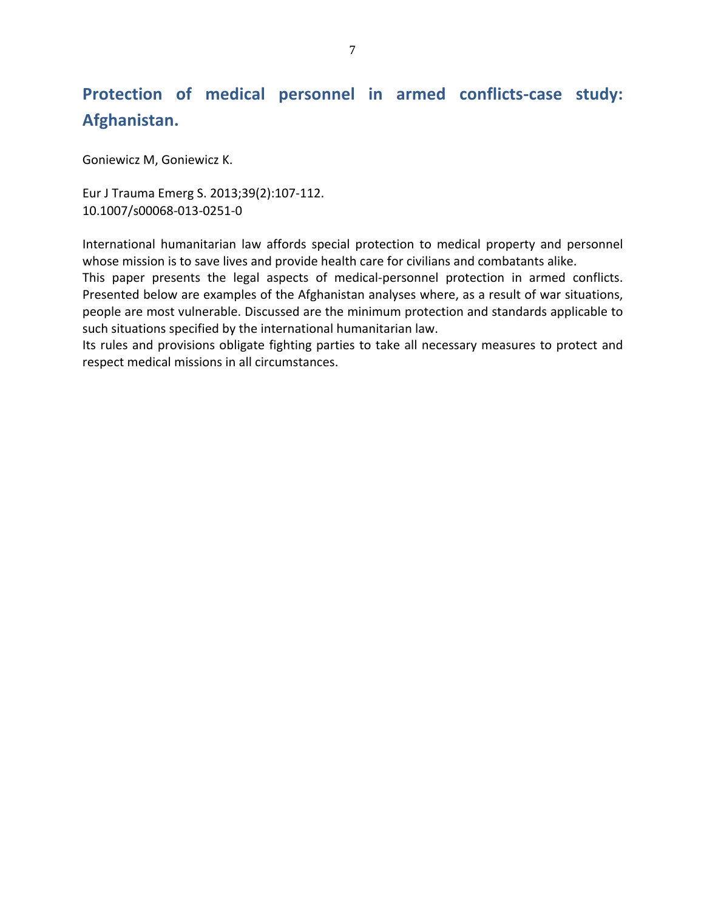# Protection of medical personnel in armed conflicts-case study: **Afghanistan.**

Goniewicz M, Goniewicz K.

Eur J Trauma Emerg S. 2013;39(2):107-112. 10.1007/s00068-013-0251-0

International humanitarian law affords special protection to medical property and personnel whose mission is to save lives and provide health care for civilians and combatants alike. This paper presents the legal aspects of medical-personnel protection in armed conflicts. Presented below are examples of the Afghanistan analyses where, as a result of war situations, people are most vulnerable. Discussed are the minimum protection and standards applicable to such situations specified by the international humanitarian law.

Its rules and provisions obligate fighting parties to take all necessary measures to protect and respect medical missions in all circumstances.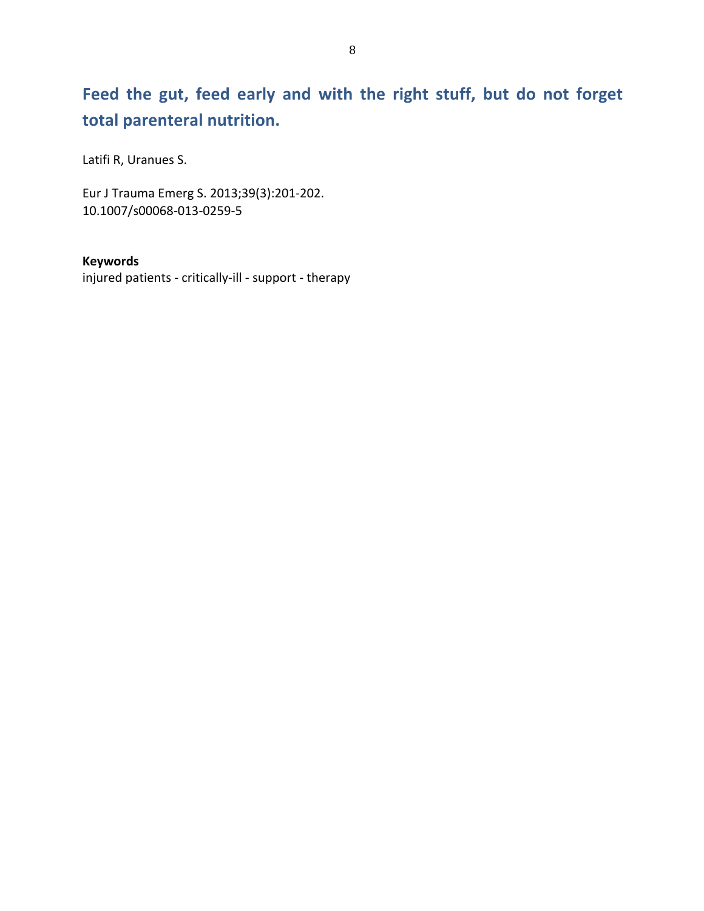# Feed the gut, feed early and with the right stuff, but do not forget total parenteral nutrition.

Latifi R, Uranues S.

Eur J Trauma Emerg S. 2013;39(3):201-202. 10.1007/s00068-013-0259-5

#### **Keywords**

injured patients - critically-ill - support - therapy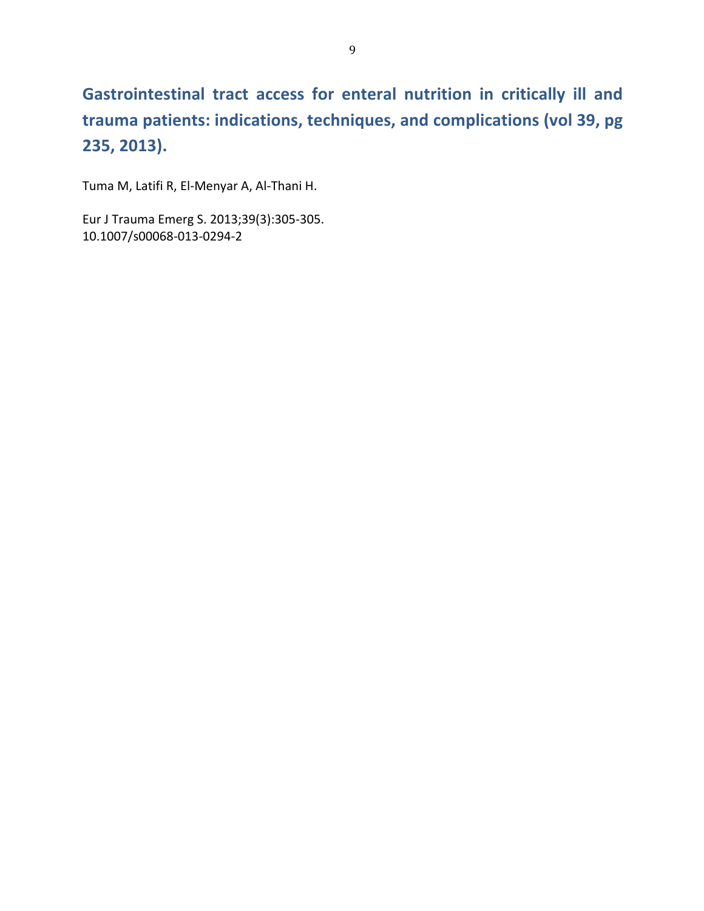# Gastrointestinal tract access for enteral nutrition in critically ill and trauma patients: indications, techniques, and complications (vol 39, pg 235, 2013).

Tuma M, Latifi R, El-Menyar A, Al-Thani H.

Eur J Trauma Emerg S. 2013;39(3):305-305. 10.1007/s00068-013-0294-2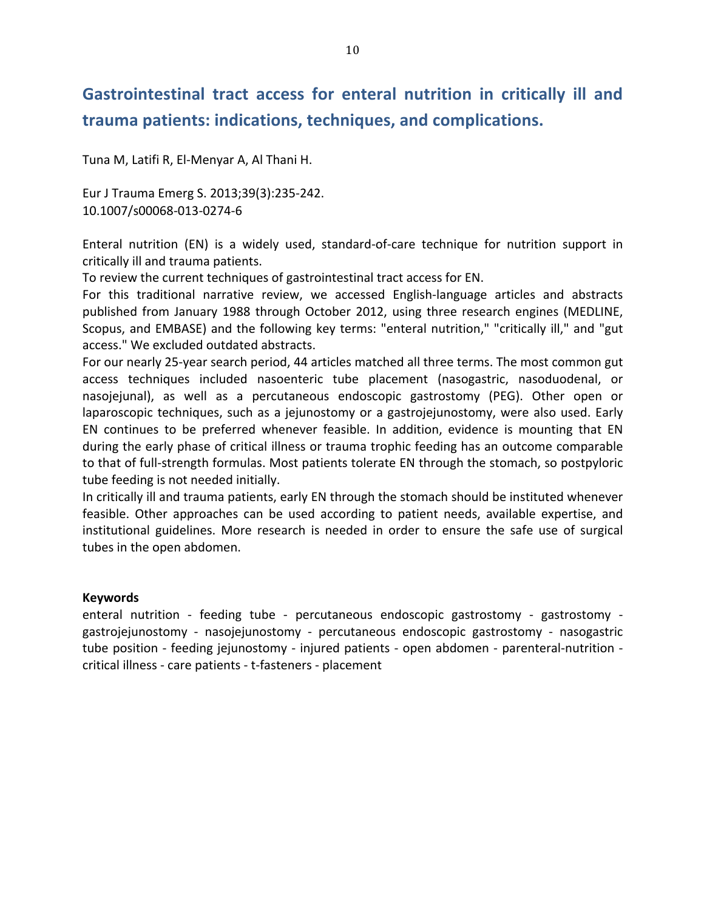## Gastrointestinal tract access for enteral nutrition in critically ill and trauma patients: indications, techniques, and complications.

Tuna M, Latifi R, El-Menyar A, Al Thani H.

Eur J Trauma Emerg S. 2013;39(3):235-242. 10.1007/s00068-013-0274-6

Enteral nutrition (EN) is a widely used, standard-of-care technique for nutrition support in critically ill and trauma patients.

To review the current techniques of gastrointestinal tract access for EN.

For this traditional narrative review, we accessed English-language articles and abstracts published from January 1988 through October 2012, using three research engines (MEDLINE, Scopus, and EMBASE) and the following key terms: "enteral nutrition," "critically ill," and "gut access." We excluded outdated abstracts.

For our nearly 25-year search period, 44 articles matched all three terms. The most common gut access techniques included nasoenteric tube placement (nasogastric, nasoduodenal, or nasojejunal), as well as a percutaneous endoscopic gastrostomy (PEG). Other open or laparoscopic techniques, such as a jejunostomy or a gastrojejunostomy, were also used. Early EN continues to be preferred whenever feasible. In addition, evidence is mounting that EN during the early phase of critical illness or trauma trophic feeding has an outcome comparable to that of full-strength formulas. Most patients tolerate EN through the stomach, so postpyloric tube feeding is not needed initially.

In critically ill and trauma patients, early EN through the stomach should be instituted whenever feasible. Other approaches can be used according to patient needs, available expertise, and institutional guidelines. More research is needed in order to ensure the safe use of surgical tubes in the open abdomen.

#### **Keywords**

enteral nutrition - feeding tube - percutaneous endoscopic gastrostomy - gastrostomy gastrojejunostomy - nasojejunostomy - percutaneous endoscopic gastrostomy - nasogastric tube position - feeding jejunostomy - injured patients - open abdomen - parenteral-nutrition critical illness - care patients - t-fasteners - placement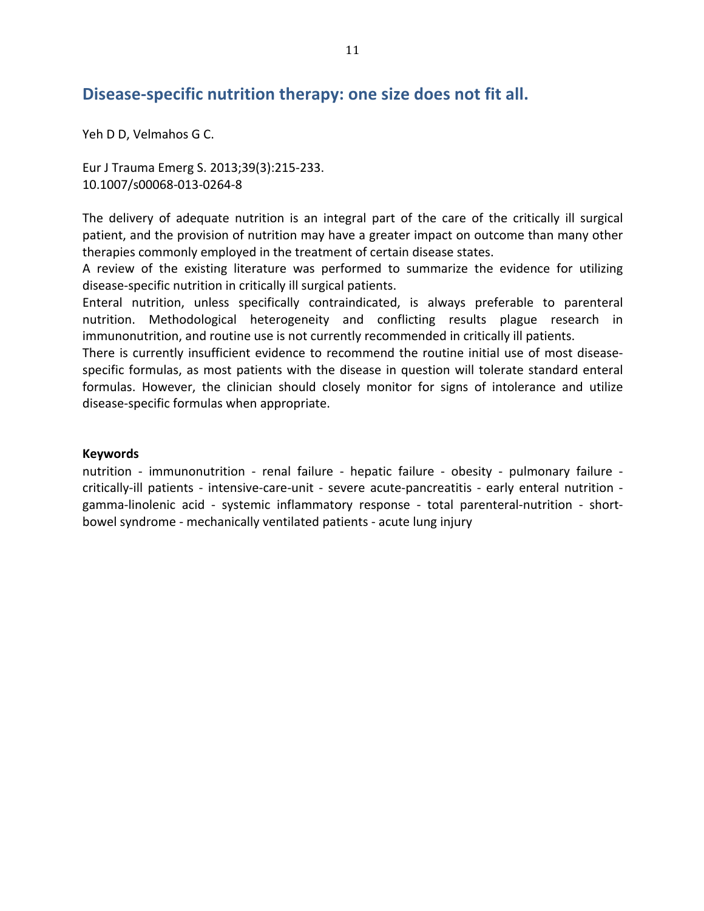### Disease-specific nutrition therapy: one size does not fit all.

Yeh D D, Velmahos G C.

Eur J Trauma Emerg S. 2013;39(3):215-233. 10.1007/s00068-013-0264-8

The delivery of adequate nutrition is an integral part of the care of the critically ill surgical patient, and the provision of nutrition may have a greater impact on outcome than many other therapies commonly employed in the treatment of certain disease states.

A review of the existing literature was performed to summarize the evidence for utilizing disease-specific nutrition in critically ill surgical patients.

Enteral nutrition, unless specifically contraindicated, is always preferable to parenteral nutrition. Methodological heterogeneity and conflicting results plague research in immunonutrition, and routine use is not currently recommended in critically ill patients.

There is currently insufficient evidence to recommend the routine initial use of most diseasespecific formulas, as most patients with the disease in question will tolerate standard enteral formulas. However, the clinician should closely monitor for signs of intolerance and utilize disease-specific formulas when appropriate.

#### **Keywords**

nutrition - immunonutrition - renal failure - hepatic failure - obesity - pulmonary failure critically-ill patients - intensive-care-unit - severe acute-pancreatitis - early enteral nutrition gamma-linolenic acid - systemic inflammatory response - total parenteral-nutrition - shortbowel syndrome - mechanically ventilated patients - acute lung injury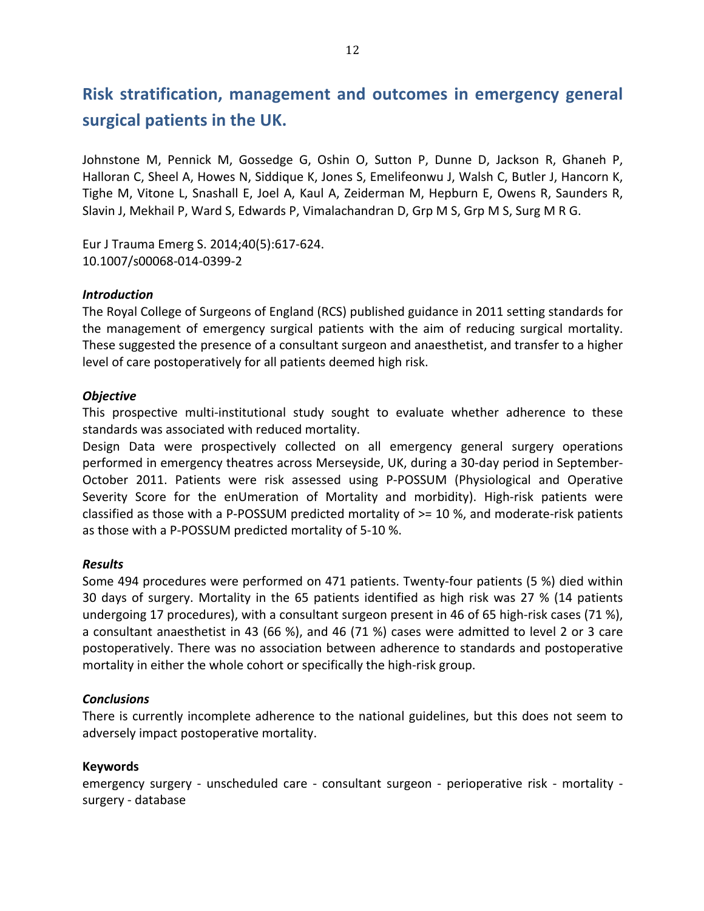### Risk stratification, management and outcomes in emergency general surgical patients in the UK.

Johnstone M, Pennick M, Gossedge G, Oshin O, Sutton P, Dunne D, Jackson R, Ghaneh P, Halloran C, Sheel A, Howes N, Siddique K, Jones S, Emelifeonwu J, Walsh C, Butler J, Hancorn K, Tighe M, Vitone L, Snashall E, Joel A, Kaul A, Zeiderman M, Hepburn E, Owens R, Saunders R, Slavin J, Mekhail P, Ward S, Edwards P, Vimalachandran D, Grp M S, Grp M S, Surg M R G.

Eur J Trauma Emerg S. 2014;40(5):617-624. 10.1007/s00068-014-0399-2

#### **Introduction**

The Royal College of Surgeons of England (RCS) published guidance in 2011 setting standards for the management of emergency surgical patients with the aim of reducing surgical mortality. These suggested the presence of a consultant surgeon and anaesthetist, and transfer to a higher level of care postoperatively for all patients deemed high risk.

#### **Objective**

This prospective multi-institutional study sought to evaluate whether adherence to these standards was associated with reduced mortality.

Design Data were prospectively collected on all emergency general surgery operations performed in emergency theatres across Merseyside, UK, during a 30-day period in September-October 2011. Patients were risk assessed using P-POSSUM (Physiological and Operative Severity Score for the enUmeration of Mortality and morbidity). High-risk patients were classified as those with a P-POSSUM predicted mortality of  $\geq$  10 %, and moderate-risk patients as those with a P-POSSUM predicted mortality of 5-10 %.

#### **Results**

Some 494 procedures were performed on 471 patients. Twenty-four patients (5 %) died within 30 days of surgery. Mortality in the 65 patients identified as high risk was 27 % (14 patients undergoing 17 procedures), with a consultant surgeon present in 46 of 65 high-risk cases (71 %), a consultant anaesthetist in 43 (66 %), and 46 (71 %) cases were admitted to level 2 or 3 care postoperatively. There was no association between adherence to standards and postoperative mortality in either the whole cohort or specifically the high-risk group.

#### **Conclusions**

There is currently incomplete adherence to the national guidelines, but this does not seem to adversely impact postoperative mortality.

#### **Keywords**

emergency surgery - unscheduled care - consultant surgeon - perioperative risk - mortality surgery - database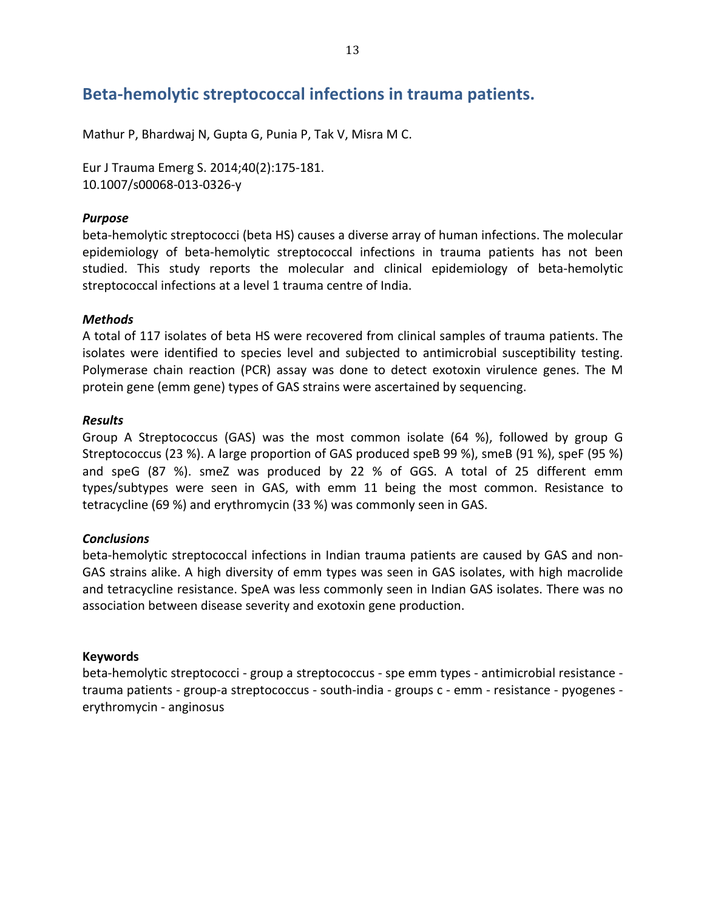### **Beta-hemolytic streptococcal infections in trauma patients.**

Mathur P, Bhardwaj N, Gupta G, Punia P, Tak V, Misra M C.

Eur J Trauma Emerg S. 2014;40(2):175-181. 10.1007/s00068-013-0326-y

#### *Purpose*

beta-hemolytic streptococci (beta HS) causes a diverse array of human infections. The molecular epidemiology of beta-hemolytic streptococcal infections in trauma patients has not been studied. This study reports the molecular and clinical epidemiology of beta-hemolytic streptococcal infections at a level 1 trauma centre of India.

#### *Methods*

A total of 117 isolates of beta HS were recovered from clinical samples of trauma patients. The isolates were identified to species level and subjected to antimicrobial susceptibility testing. Polymerase chain reaction (PCR) assay was done to detect exotoxin virulence genes. The M protein gene (emm gene) types of GAS strains were ascertained by sequencing.

#### *Results*

Group A Streptococcus (GAS) was the most common isolate (64 %), followed by group G Streptococcus (23 %). A large proportion of GAS produced speB 99 %), smeB (91 %), speF (95 %) and speG (87 %). smeZ was produced by 22 % of GGS. A total of 25 different emm types/subtypes were seen in GAS, with emm 11 being the most common. Resistance to tetracycline (69 %) and erythromycin (33 %) was commonly seen in GAS.

#### *Conclusions*

beta-hemolytic streptococcal infections in Indian trauma patients are caused by GAS and non-GAS strains alike. A high diversity of emm types was seen in GAS isolates, with high macrolide and tetracycline resistance. SpeA was less commonly seen in Indian GAS isolates. There was no association between disease severity and exotoxin gene production.

#### **Keywords**

beta-hemolytic streptococci - group a streptococcus - spe emm types - antimicrobial resistance trauma patients - group-a streptococcus - south-india - groups c - emm - resistance - pyogenes erythromycin - anginosus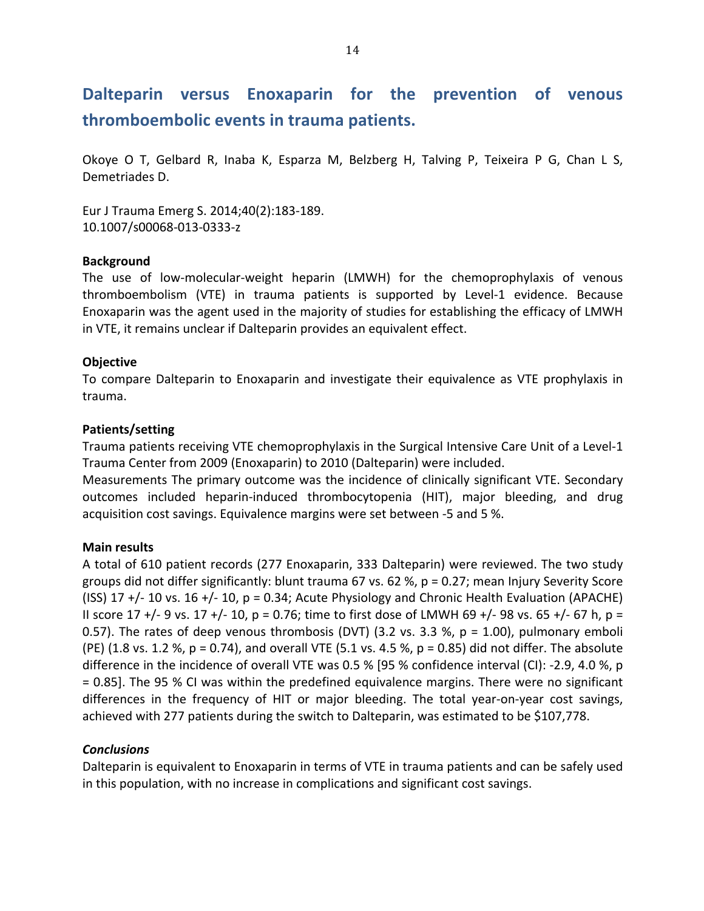## Dalteparin versus Enoxaparin for the prevention of venous thromboembolic events in trauma patients.

Okoye O T, Gelbard R, Inaba K, Esparza M, Belzberg H, Talving P, Teixeira P G, Chan L S, Demetriades D.

Eur J Trauma Emerg S. 2014;40(2):183-189. 10.1007/s00068-013-0333-z

#### **Background**

The use of low-molecular-weight heparin (LMWH) for the chemoprophylaxis of venous thromboembolism (VTE) in trauma patients is supported by Level-1 evidence. Because Enoxaparin was the agent used in the majority of studies for establishing the efficacy of LMWH in VTE, it remains unclear if Dalteparin provides an equivalent effect.

#### **Objective**

To compare Dalteparin to Enoxaparin and investigate their equivalence as VTE prophylaxis in trauma.

#### Patients/setting

Trauma patients receiving VTE chemoprophylaxis in the Surgical Intensive Care Unit of a Level-1 Trauma Center from 2009 (Enoxaparin) to 2010 (Dalteparin) were included.

Measurements The primary outcome was the incidence of clinically significant VTE. Secondary outcomes included heparin-induced thrombocytopenia (HIT), major bleeding, and drug acquisition cost savings. Equivalence margins were set between -5 and 5 %.

#### **Main results**

A total of 610 patient records (277 Enoxaparin, 333 Dalteparin) were reviewed. The two study groups did not differ significantly: blunt trauma 67 vs. 62 %,  $p = 0.27$ ; mean Injury Severity Score (ISS) 17 +/- 10 vs. 16 +/- 10,  $p = 0.34$ ; Acute Physiology and Chronic Health Evaluation (APACHE) II score 17 +/- 9 vs. 17 +/- 10, p = 0.76; time to first dose of LMWH 69 +/- 98 vs. 65 +/- 67 h, p = 0.57). The rates of deep venous thrombosis (DVT) (3.2 vs. 3.3 %,  $p = 1.00$ ), pulmonary emboli (PE) (1.8 vs. 1.2 %,  $p = 0.74$ ), and overall VTE (5.1 vs. 4.5 %,  $p = 0.85$ ) did not differ. The absolute difference in the incidence of overall VTE was 0.5 % [95 % confidence interval (CI): -2.9, 4.0 %, p = 0.85]. The 95 % CI was within the predefined equivalence margins. There were no significant differences in the frequency of HIT or major bleeding. The total year-on-year cost savings, achieved with 277 patients during the switch to Dalteparin, was estimated to be \$107,778.

#### **Conclusions**

Dalteparin is equivalent to Enoxaparin in terms of VTE in trauma patients and can be safely used in this population, with no increase in complications and significant cost savings.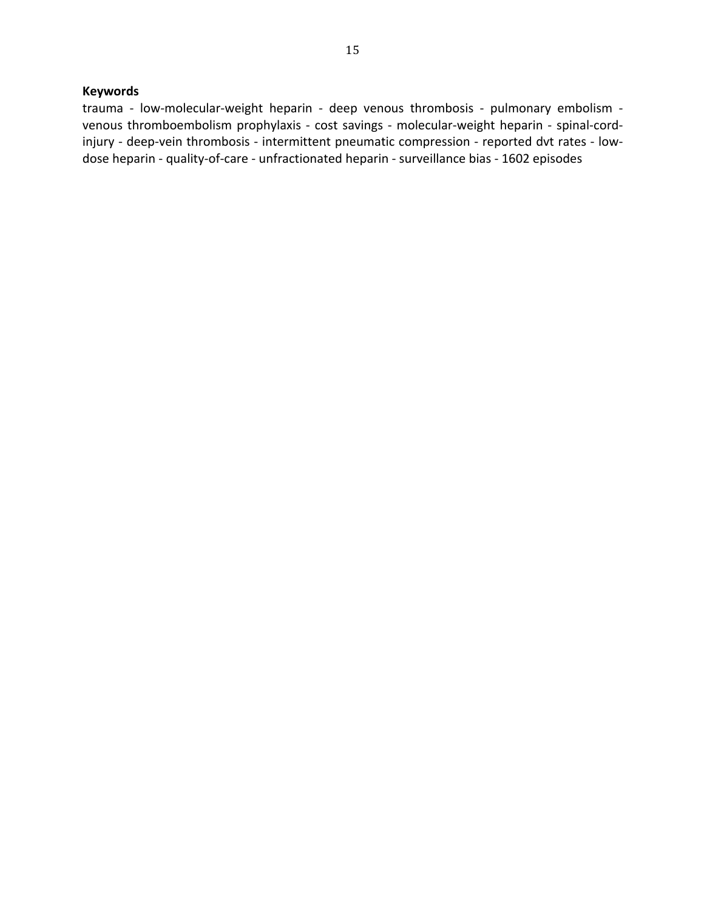#### **Keywords**

trauma - low-molecular-weight heparin - deep venous thrombosis - pulmonary embolism venous thromboembolism prophylaxis - cost savings - molecular-weight heparin - spinal-cordinjury - deep-vein thrombosis - intermittent pneumatic compression - reported dvt rates - lowdose heparin - quality-of-care - unfractionated heparin - surveillance bias - 1602 episodes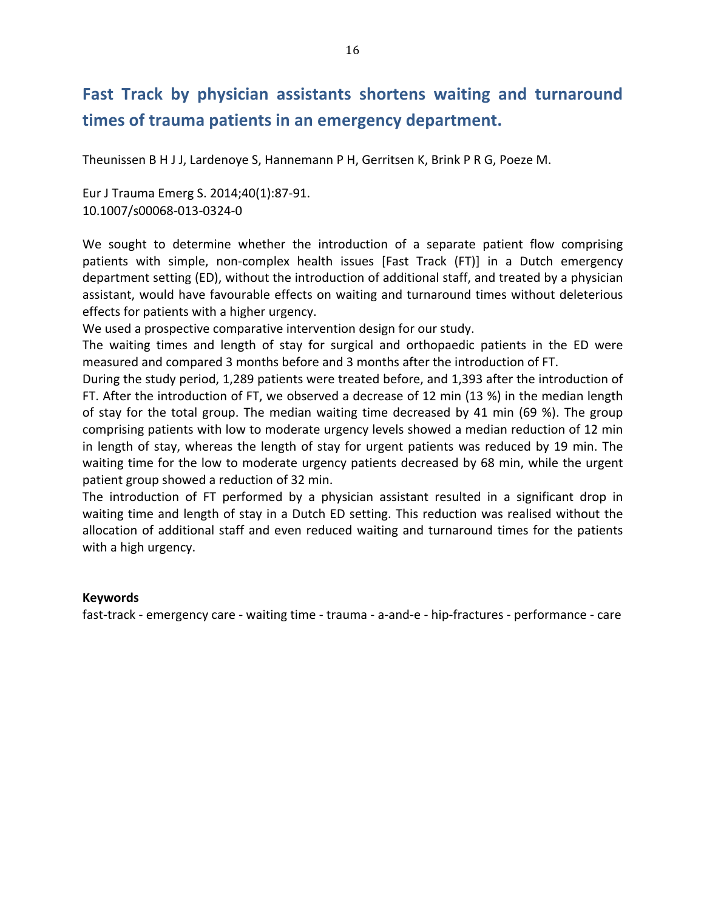### **Fast Track by physician assistants shortens waiting and turnaround** times of trauma patients in an emergency department.

Theunissen B H J J, Lardenoye S, Hannemann P H, Gerritsen K, Brink P R G, Poeze M.

Eur J Trauma Emerg S. 2014;40(1):87-91. 10.1007/s00068-013-0324-0

We sought to determine whether the introduction of a separate patient flow comprising patients with simple, non-complex health issues [Fast Track (FT)] in a Dutch emergency department setting (ED), without the introduction of additional staff, and treated by a physician assistant, would have favourable effects on waiting and turnaround times without deleterious effects for patients with a higher urgency.

We used a prospective comparative intervention design for our study.

The waiting times and length of stay for surgical and orthopaedic patients in the ED were measured and compared 3 months before and 3 months after the introduction of FT.

During the study period, 1,289 patients were treated before, and 1,393 after the introduction of FT. After the introduction of FT, we observed a decrease of 12 min (13 %) in the median length of stay for the total group. The median waiting time decreased by 41 min (69 %). The group comprising patients with low to moderate urgency levels showed a median reduction of 12 min in length of stay, whereas the length of stay for urgent patients was reduced by 19 min. The waiting time for the low to moderate urgency patients decreased by 68 min, while the urgent patient group showed a reduction of 32 min.

The introduction of FT performed by a physician assistant resulted in a significant drop in waiting time and length of stay in a Dutch ED setting. This reduction was realised without the allocation of additional staff and even reduced waiting and turnaround times for the patients with a high urgency.

#### **Keywords**

fast-track - emergency care - waiting time - trauma - a-and-e - hip-fractures - performance - care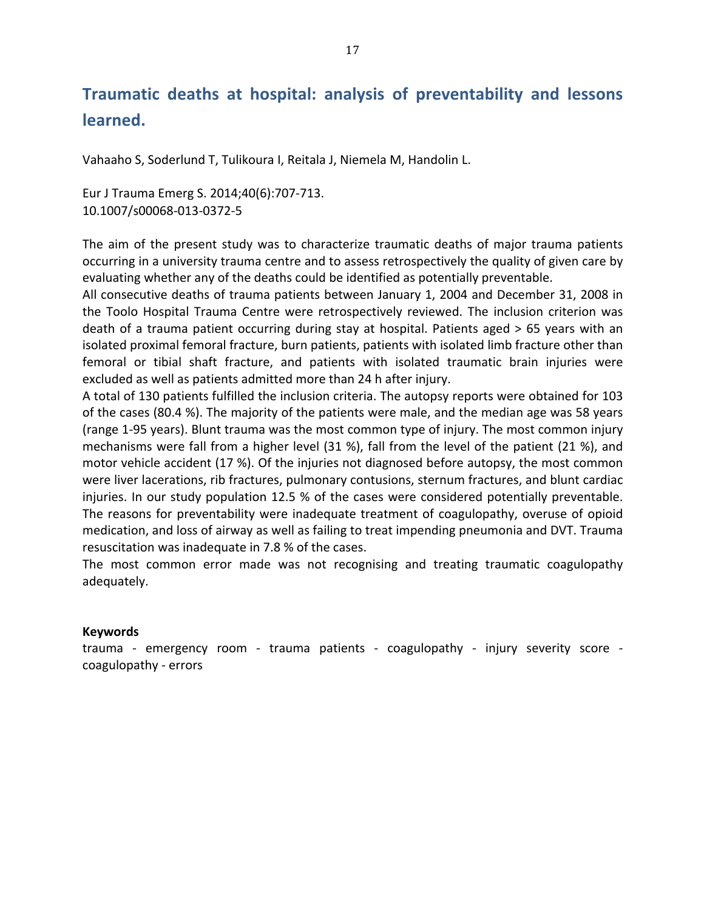### Traumatic deaths at hospital: analysis of preventability and lessons learned.

Vahaaho S, Soderlund T, Tulikoura I, Reitala J, Niemela M, Handolin L.

Eur J Trauma Emerg S. 2014;40(6):707-713. 10.1007/s00068-013-0372-5

The aim of the present study was to characterize traumatic deaths of major trauma patients occurring in a university trauma centre and to assess retrospectively the quality of given care by evaluating whether any of the deaths could be identified as potentially preventable.

All consecutive deaths of trauma patients between January 1, 2004 and December 31, 2008 in the Toolo Hospital Trauma Centre were retrospectively reviewed. The inclusion criterion was death of a trauma patient occurring during stay at hospital. Patients aged > 65 years with an isolated proximal femoral fracture, burn patients, patients with isolated limb fracture other than femoral or tibial shaft fracture, and patients with isolated traumatic brain injuries were excluded as well as patients admitted more than 24 h after injury.

A total of 130 patients fulfilled the inclusion criteria. The autopsy reports were obtained for 103 of the cases (80.4 %). The majority of the patients were male, and the median age was 58 years (range 1-95 years). Blunt trauma was the most common type of injury. The most common injury mechanisms were fall from a higher level (31 %), fall from the level of the patient (21 %), and motor vehicle accident (17 %). Of the injuries not diagnosed before autopsy, the most common were liver lacerations, rib fractures, pulmonary contusions, sternum fractures, and blunt cardiac injuries. In our study population 12.5 % of the cases were considered potentially preventable. The reasons for preventability were inadequate treatment of coagulopathy, overuse of opioid medication, and loss of airway as well as failing to treat impending pneumonia and DVT. Trauma resuscitation was inadequate in 7.8 % of the cases.

The most common error made was not recognising and treating traumatic coagulopathy adequately.

#### **Keywords**

trauma - emergency room - trauma patients - coagulopathy - injury severity score coagulopathy - errors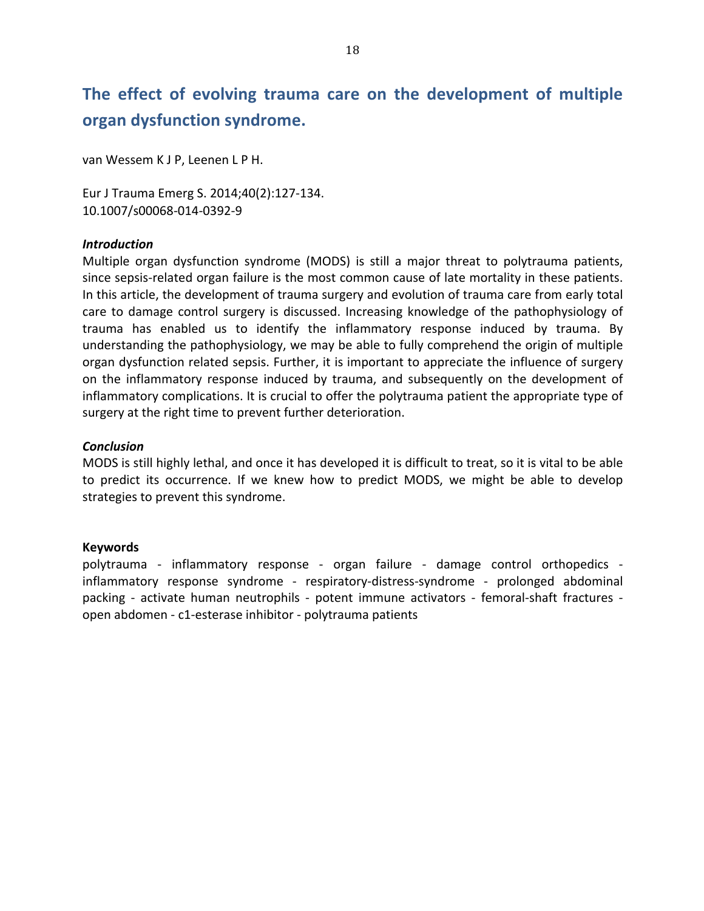## The effect of evolving trauma care on the development of multiple organ dysfunction syndrome.

van Wessem KJP, Leenen LPH.

Eur J Trauma Emerg S. 2014;40(2):127-134. 10.1007/s00068-014-0392-9

#### **Introduction**

Multiple organ dysfunction syndrome (MODS) is still a major threat to polytrauma patients, since sepsis-related organ failure is the most common cause of late mortality in these patients. In this article, the development of trauma surgery and evolution of trauma care from early total care to damage control surgery is discussed. Increasing knowledge of the pathophysiology of trauma has enabled us to identify the inflammatory response induced by trauma. By understanding the pathophysiology, we may be able to fully comprehend the origin of multiple organ dysfunction related sepsis. Further, it is important to appreciate the influence of surgery on the inflammatory response induced by trauma, and subsequently on the development of inflammatory complications. It is crucial to offer the polytrauma patient the appropriate type of surgery at the right time to prevent further deterioration.

#### **Conclusion**

MODS is still highly lethal, and once it has developed it is difficult to treat, so it is vital to be able to predict its occurrence. If we knew how to predict MODS, we might be able to develop strategies to prevent this syndrome.

#### **Keywords**

polytrauma - inflammatory response - organ failure - damage control orthopedics inflammatory response syndrome - respiratory-distress-syndrome - prolonged abdominal packing - activate human neutrophils - potent immune activators - femoral-shaft fractures open abdomen - c1-esterase inhibitor - polytrauma patients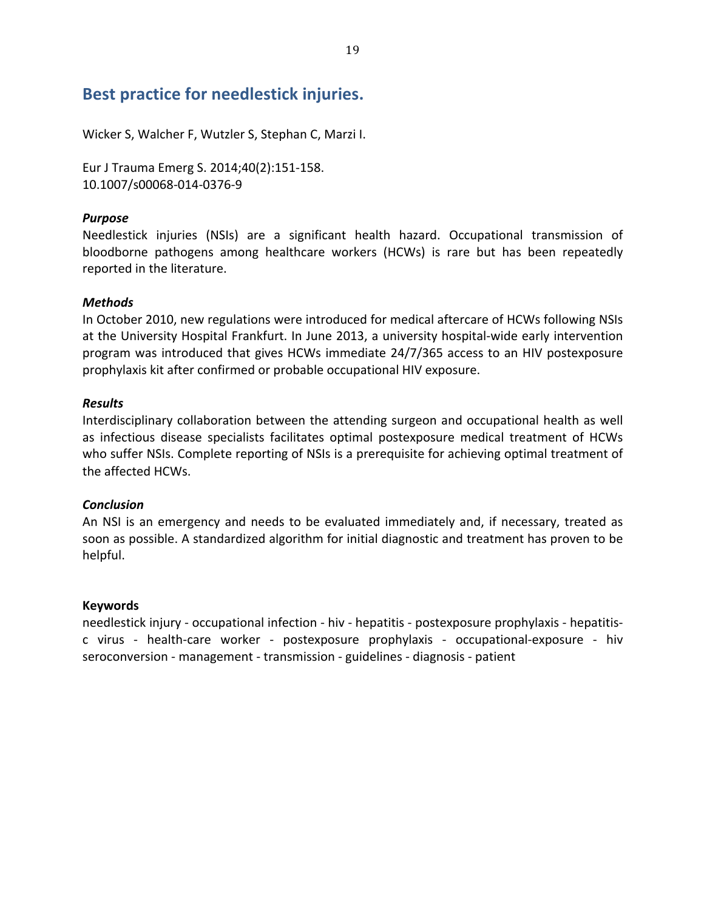### Best practice for needlestick injuries.

Wicker S, Walcher F, Wutzler S, Stephan C, Marzi I.

Eur J Trauma Emerg S. 2014;40(2):151-158. 10.1007/s00068-014-0376-9

#### **Purpose**

Needlestick injuries (NSIs) are a significant health hazard. Occupational transmission of bloodborne pathogens among healthcare workers (HCWs) is rare but has been repeatedly reported in the literature.

#### **Methods**

In October 2010, new regulations were introduced for medical aftercare of HCWs following NSIs at the University Hospital Frankfurt. In June 2013, a university hospital-wide early intervention program was introduced that gives HCWs immediate 24/7/365 access to an HIV postexposure prophylaxis kit after confirmed or probable occupational HIV exposure.

#### **Results**

Interdisciplinary collaboration between the attending surgeon and occupational health as well as infectious disease specialists facilitates optimal postexposure medical treatment of HCWs who suffer NSIs. Complete reporting of NSIs is a prerequisite for achieving optimal treatment of the affected HCWs.

#### Conclusion

An NSI is an emergency and needs to be evaluated immediately and, if necessary, treated as soon as possible. A standardized algorithm for initial diagnostic and treatment has proven to be helpful.

#### **Keywords**

needlestick injury - occupational infection - hiv - hepatitis - postexposure prophylaxis - hepatitisc virus - health-care worker - postexposure prophylaxis - occupational-exposure - hiv seroconversion - management - transmission - guidelines - diagnosis - patient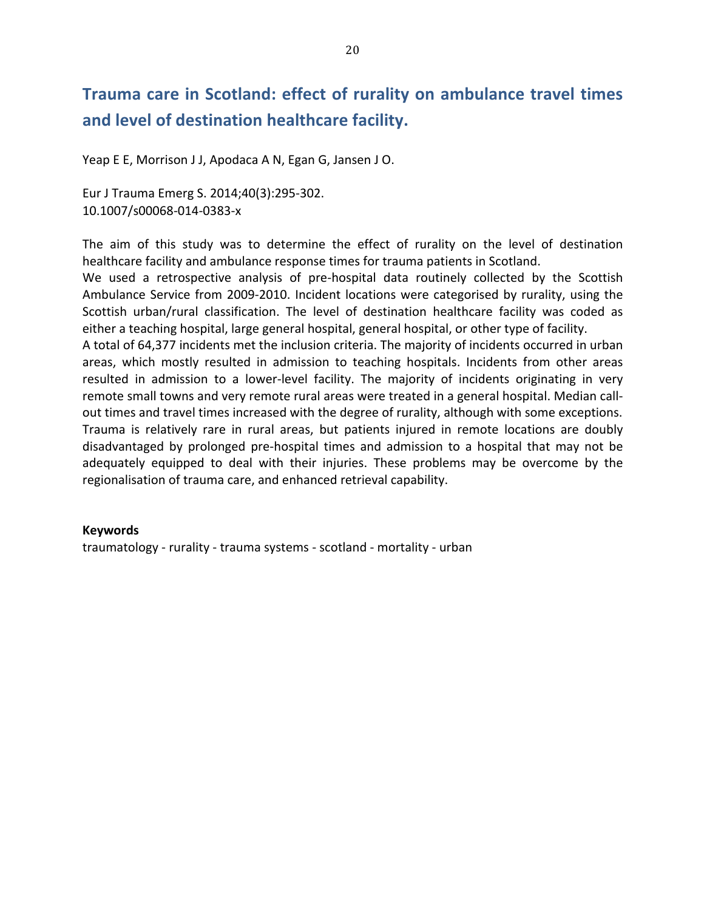## Trauma care in Scotland: effect of rurality on ambulance travel times and level of destination healthcare facility.

Yeap E E, Morrison J J, Apodaca A N, Egan G, Jansen J O.

Eur J Trauma Emerg S. 2014;40(3):295-302. 10.1007/s00068-014-0383-x

The aim of this study was to determine the effect of rurality on the level of destination healthcare facility and ambulance response times for trauma patients in Scotland.

We used a retrospective analysis of pre-hospital data routinely collected by the Scottish Ambulance Service from 2009-2010. Incident locations were categorised by rurality, using the Scottish urban/rural classification. The level of destination healthcare facility was coded as either a teaching hospital, large general hospital, general hospital, or other type of facility.

A total of 64,377 incidents met the inclusion criteria. The majority of incidents occurred in urban areas, which mostly resulted in admission to teaching hospitals. Incidents from other areas resulted in admission to a lower-level facility. The majority of incidents originating in very remote small towns and very remote rural areas were treated in a general hospital. Median callout times and travel times increased with the degree of rurality, although with some exceptions. Trauma is relatively rare in rural areas, but patients injured in remote locations are doubly disadvantaged by prolonged pre-hospital times and admission to a hospital that may not be adequately equipped to deal with their injuries. These problems may be overcome by the regionalisation of trauma care, and enhanced retrieval capability.

#### **Keywords**

traumatology - rurality - trauma systems - scotland - mortality - urban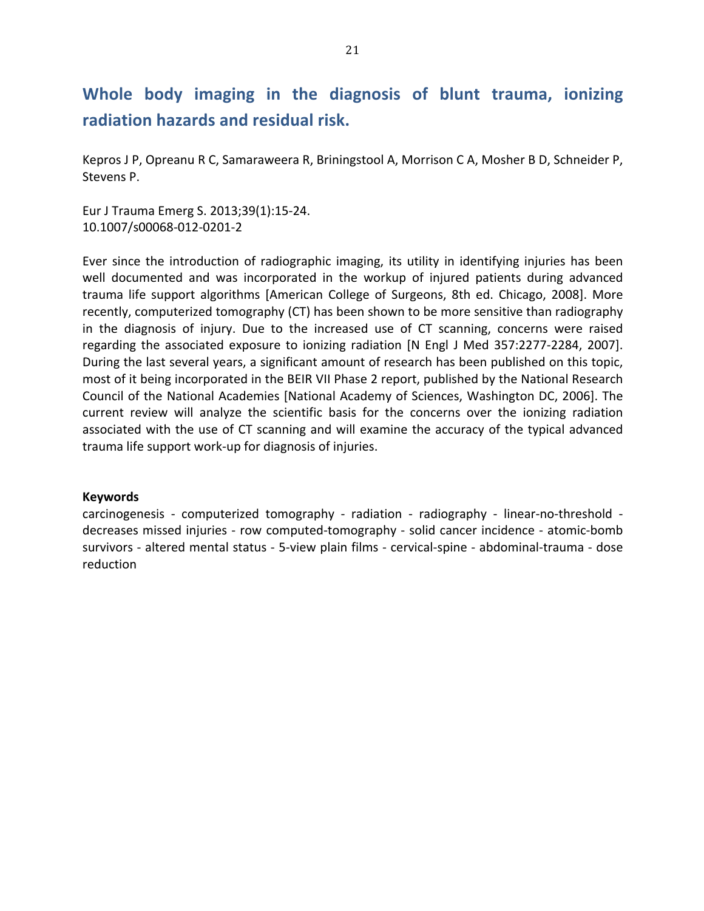### Whole body imaging in the diagnosis of blunt trauma, ionizing radiation hazards and residual risk.

Kepros J P, Opreanu R C, Samaraweera R, Briningstool A, Morrison C A, Mosher B D, Schneider P, Stevens P.

Eur J Trauma Emerg S. 2013;39(1):15-24. 10.1007/s00068-012-0201-2

Ever since the introduction of radiographic imaging, its utility in identifying injuries has been well documented and was incorporated in the workup of injured patients during advanced trauma life support algorithms [American College of Surgeons, 8th ed. Chicago, 2008]. More recently, computerized tomography (CT) has been shown to be more sensitive than radiography in the diagnosis of injury. Due to the increased use of CT scanning, concerns were raised regarding the associated exposure to ionizing radiation [N Engl J Med 357:2277-2284, 2007]. During the last several years, a significant amount of research has been published on this topic, most of it being incorporated in the BEIR VII Phase 2 report, published by the National Research Council of the National Academies [National Academy of Sciences, Washington DC, 2006]. The current review will analyze the scientific basis for the concerns over the ionizing radiation associated with the use of CT scanning and will examine the accuracy of the typical advanced trauma life support work-up for diagnosis of injuries.

#### **Keywords**

carcinogenesis - computerized tomography - radiation - radiography - linear-no-threshold decreases missed injuries - row computed-tomography - solid cancer incidence - atomic-bomb survivors - altered mental status - 5-view plain films - cervical-spine - abdominal-trauma - dose reduction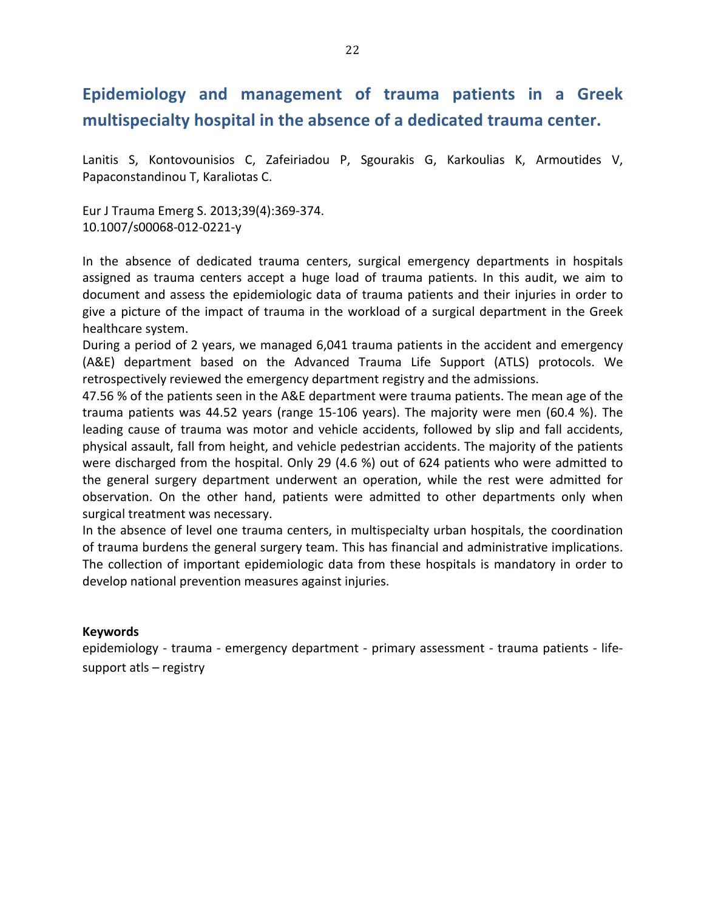### Epidemiology and management of trauma patients in a Greek multispecialty hospital in the absence of a dedicated trauma center.

Lanitis S, Kontovounisios C, Zafeiriadou P, Sgourakis G, Karkoulias K, Armoutides V, Papaconstandinou T, Karaliotas C.

Eur J Trauma Emerg S. 2013;39(4):369-374. 10.1007/s00068-012-0221-y

In the absence of dedicated trauma centers, surgical emergency departments in hospitals assigned as trauma centers accept a huge load of trauma patients. In this audit, we aim to document and assess the epidemiologic data of trauma patients and their injuries in order to give a picture of the impact of trauma in the workload of a surgical department in the Greek healthcare system.

During a period of 2 years, we managed 6,041 trauma patients in the accident and emergency (A&E) department based on the Advanced Trauma Life Support (ATLS) protocols. We retrospectively reviewed the emergency department registry and the admissions.

47.56 % of the patients seen in the A&E department were trauma patients. The mean age of the trauma patients was 44.52 years (range 15-106 years). The majority were men (60.4 %). The leading cause of trauma was motor and vehicle accidents, followed by slip and fall accidents, physical assault, fall from height, and vehicle pedestrian accidents. The majority of the patients were discharged from the hospital. Only 29 (4.6 %) out of 624 patients who were admitted to the general surgery department underwent an operation, while the rest were admitted for observation. On the other hand, patients were admitted to other departments only when surgical treatment was necessary.

In the absence of level one trauma centers, in multispecialty urban hospitals, the coordination of trauma burdens the general surgery team. This has financial and administrative implications. The collection of important epidemiologic data from these hospitals is mandatory in order to develop national prevention measures against injuries.

#### **Keywords**

epidemiology - trauma - emergency department - primary assessment - trauma patients - lifesupport atls - registry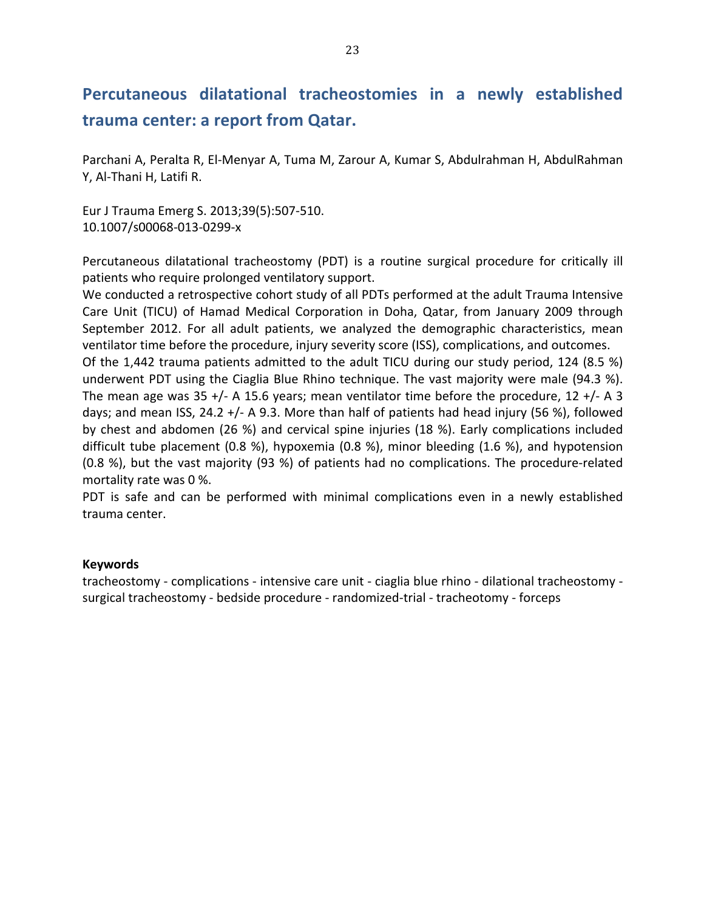### Percutaneous dilatational tracheostomies in a newly established trauma center: a report from Qatar.

Parchani A, Peralta R, El-Menyar A, Tuma M, Zarour A, Kumar S, Abdulrahman H, AbdulRahman Y, Al-Thani H, Latifi R.

Eur J Trauma Emerg S. 2013;39(5):507-510. 10.1007/s00068-013-0299-x

Percutaneous dilatational tracheostomy (PDT) is a routine surgical procedure for critically ill patients who require prolonged ventilatory support.

We conducted a retrospective cohort study of all PDTs performed at the adult Trauma Intensive Care Unit (TICU) of Hamad Medical Corporation in Doha, Qatar, from January 2009 through September 2012. For all adult patients, we analyzed the demographic characteristics, mean ventilator time before the procedure, injury severity score (ISS), complications, and outcomes.

Of the 1,442 trauma patients admitted to the adult TICU during our study period, 124 (8.5 %) underwent PDT using the Ciaglia Blue Rhino technique. The vast majority were male (94.3 %). The mean age was 35 +/- A 15.6 years; mean ventilator time before the procedure, 12 +/- A 3 days; and mean ISS, 24.2 +/- A 9.3. More than half of patients had head injury (56 %), followed by chest and abdomen (26 %) and cervical spine injuries (18 %). Early complications included difficult tube placement (0.8 %), hypoxemia (0.8 %), minor bleeding (1.6 %), and hypotension (0.8 %), but the vast majority (93 %) of patients had no complications. The procedure-related mortality rate was 0 %.

PDT is safe and can be performed with minimal complications even in a newly established trauma center.

#### **Keywords**

tracheostomy - complications - intensive care unit - ciaglia blue rhino - dilational tracheostomy surgical tracheostomy - bedside procedure - randomized-trial - tracheotomy - forceps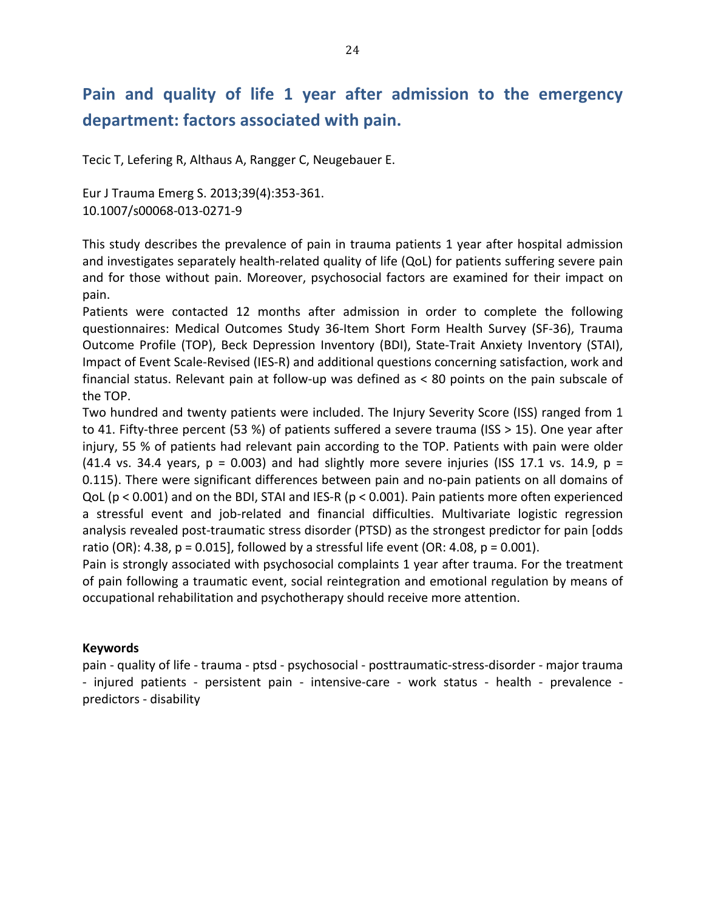## Pain and quality of life 1 year after admission to the emergency department: factors associated with pain.

Tecic T, Lefering R, Althaus A, Rangger C, Neugebauer E.

Eur J Trauma Emerg S. 2013;39(4):353-361. 10.1007/s00068-013-0271-9

This study describes the prevalence of pain in trauma patients 1 year after hospital admission and investigates separately health-related quality of life (QoL) for patients suffering severe pain and for those without pain. Moreover, psychosocial factors are examined for their impact on pain.

Patients were contacted 12 months after admission in order to complete the following questionnaires: Medical Outcomes Study 36-Item Short Form Health Survey (SF-36), Trauma Outcome Profile (TOP), Beck Depression Inventory (BDI), State-Trait Anxiety Inventory (STAI), Impact of Event Scale-Revised (IES-R) and additional questions concerning satisfaction, work and financial status. Relevant pain at follow-up was defined as  $<$  80 points on the pain subscale of the TOP.

Two hundred and twenty patients were included. The Injury Severity Score (ISS) ranged from 1 to 41. Fifty-three percent (53 %) of patients suffered a severe trauma (ISS > 15). One year after injury, 55 % of patients had relevant pain according to the TOP. Patients with pain were older (41.4 vs. 34.4 years,  $p = 0.003$ ) and had slightly more severe injuries (ISS 17.1 vs. 14.9,  $p =$ 0.115). There were significant differences between pain and no-pain patients on all domains of QoL ( $p < 0.001$ ) and on the BDI, STAI and IES-R ( $p < 0.001$ ). Pain patients more often experienced a stressful event and job-related and financial difficulties. Multivariate logistic regression analysis revealed post-traumatic stress disorder (PTSD) as the strongest predictor for pain [odds ratio (OR): 4.38,  $p = 0.015$ , followed by a stressful life event (OR: 4.08,  $p = 0.001$ ).

Pain is strongly associated with psychosocial complaints 1 year after trauma. For the treatment of pain following a traumatic event, social reintegration and emotional regulation by means of occupational rehabilitation and psychotherapy should receive more attention.

#### **Keywords**

pain - quality of life - trauma - ptsd - psychosocial - posttraumatic-stress-disorder - major trauma - injured patients - persistent pain - intensive-care - work status - health - prevalence predictors - disability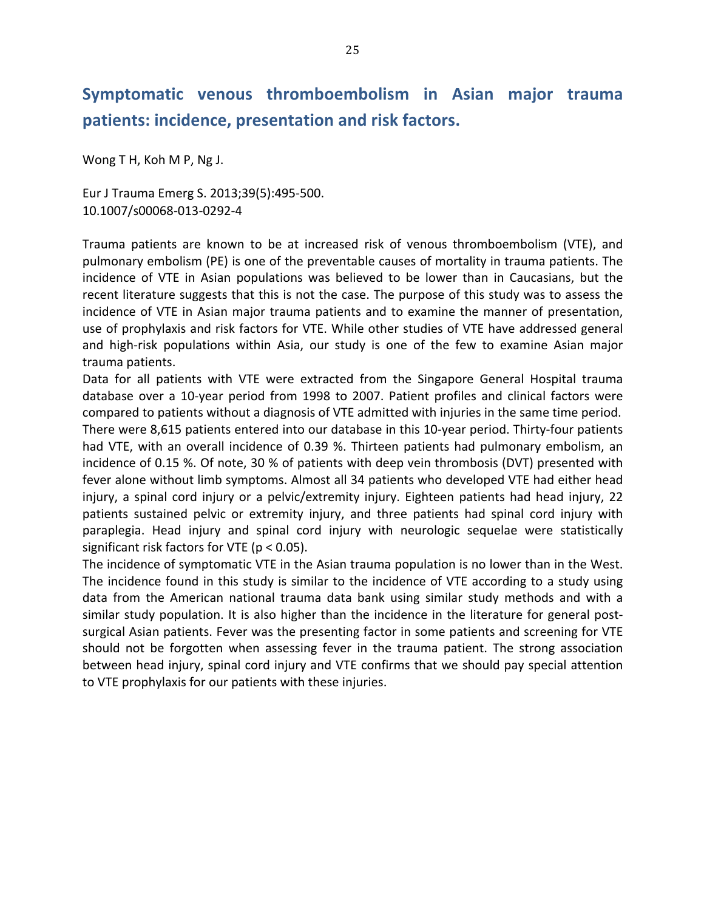### Symptomatic venous thromboembolism in Asian major trauma patients: incidence, presentation and risk factors.

Wong T H, Koh M P, Ng J.

Eur J Trauma Emerg S. 2013;39(5):495-500. 10.1007/s00068-013-0292-4

Trauma patients are known to be at increased risk of venous thromboembolism (VTE), and pulmonary embolism (PE) is one of the preventable causes of mortality in trauma patients. The incidence of VTE in Asian populations was believed to be lower than in Caucasians, but the recent literature suggests that this is not the case. The purpose of this study was to assess the incidence of VTE in Asian major trauma patients and to examine the manner of presentation, use of prophylaxis and risk factors for VTE. While other studies of VTE have addressed general and high-risk populations within Asia, our study is one of the few to examine Asian major trauma patients.

Data for all patients with VTE were extracted from the Singapore General Hospital trauma database over a 10-year period from 1998 to 2007. Patient profiles and clinical factors were compared to patients without a diagnosis of VTE admitted with injuries in the same time period. There were 8,615 patients entered into our database in this 10-year period. Thirty-four patients had VTE, with an overall incidence of 0.39 %. Thirteen patients had pulmonary embolism, an incidence of 0.15 %. Of note, 30 % of patients with deep vein thrombosis (DVT) presented with fever alone without limb symptoms. Almost all 34 patients who developed VTE had either head injury, a spinal cord injury or a pelvic/extremity injury. Eighteen patients had head injury, 22 patients sustained pelvic or extremity injury, and three patients had spinal cord injury with paraplegia. Head injury and spinal cord injury with neurologic sequelae were statistically significant risk factors for VTE ( $p < 0.05$ ).

The incidence of symptomatic VTE in the Asian trauma population is no lower than in the West. The incidence found in this study is similar to the incidence of VTE according to a study using data from the American national trauma data bank using similar study methods and with a similar study population. It is also higher than the incidence in the literature for general postsurgical Asian patients. Fever was the presenting factor in some patients and screening for VTE should not be forgotten when assessing fever in the trauma patient. The strong association between head injury, spinal cord injury and VTE confirms that we should pay special attention to VTE prophylaxis for our patients with these injuries.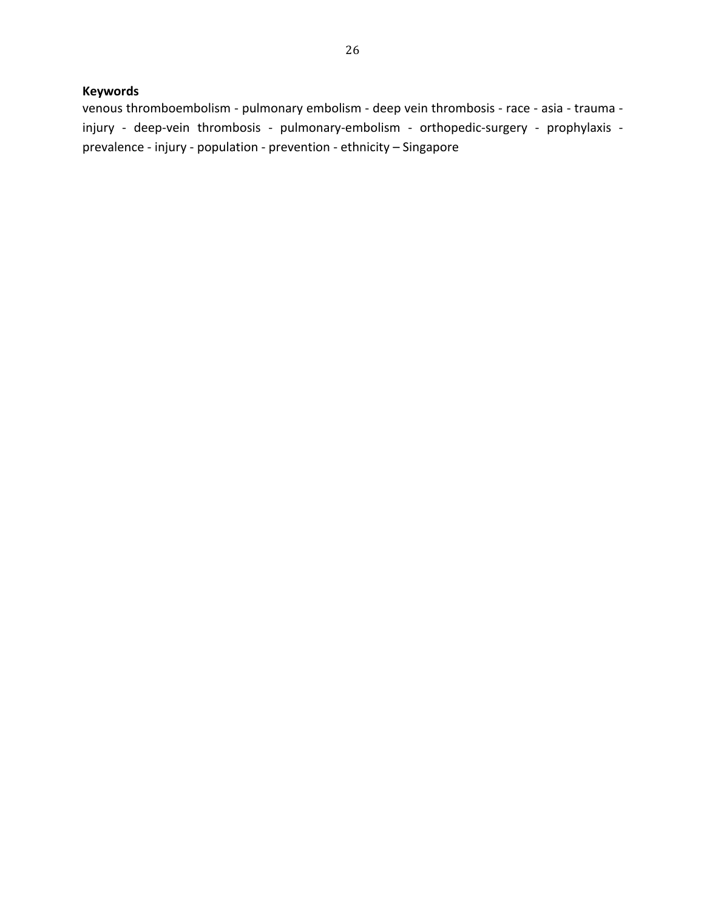#### **Keywords**

venous thromboembolism - pulmonary embolism - deep vein thrombosis - race - asia - trauma injury - deep-vein thrombosis - pulmonary-embolism - orthopedic-surgery - prophylaxis prevalence - injury - population - prevention - ethnicity – Singapore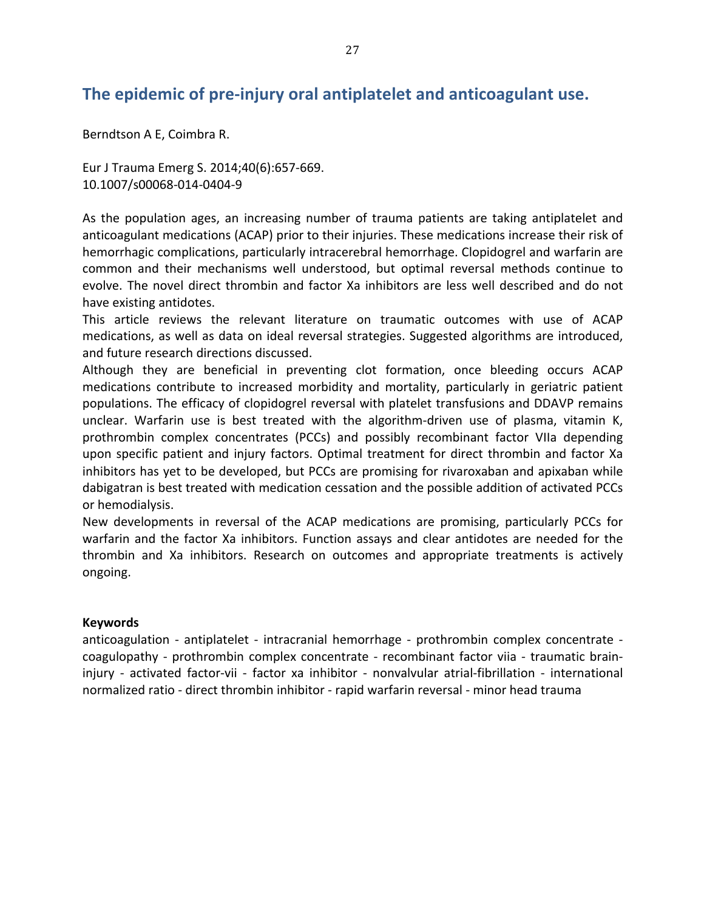### The epidemic of pre-injury oral antiplatelet and anticoagulant use.

Berndtson A E, Coimbra R.

Eur J Trauma Emerg S. 2014;40(6):657-669. 10.1007/s00068-014-0404-9

As the population ages, an increasing number of trauma patients are taking antiplatelet and anticoagulant medications (ACAP) prior to their injuries. These medications increase their risk of hemorrhagic complications, particularly intracerebral hemorrhage. Clopidogrel and warfarin are common and their mechanisms well understood, but optimal reversal methods continue to evolve. The novel direct thrombin and factor Xa inhibitors are less well described and do not have existing antidotes.

This article reviews the relevant literature on traumatic outcomes with use of ACAP medications, as well as data on ideal reversal strategies. Suggested algorithms are introduced, and future research directions discussed.

Although they are beneficial in preventing clot formation, once bleeding occurs ACAP medications contribute to increased morbidity and mortality, particularly in geriatric patient populations. The efficacy of clopidogrel reversal with platelet transfusions and DDAVP remains unclear. Warfarin use is best treated with the algorithm-driven use of plasma, vitamin K, prothrombin complex concentrates (PCCs) and possibly recombinant factor VIIa depending upon specific patient and injury factors. Optimal treatment for direct thrombin and factor Xa inhibitors has yet to be developed, but PCCs are promising for rivaroxaban and apixaban while dabigatran is best treated with medication cessation and the possible addition of activated PCCs or hemodialysis.

New developments in reversal of the ACAP medications are promising, particularly PCCs for warfarin and the factor Xa inhibitors. Function assays and clear antidotes are needed for the thrombin and Xa inhibitors. Research on outcomes and appropriate treatments is actively ongoing.

#### **Keywords**

anticoagulation - antiplatelet - intracranial hemorrhage - prothrombin complex concentrate coagulopathy - prothrombin complex concentrate - recombinant factor viia - traumatic braininjury - activated factor-vii - factor xa inhibitor - nonvalvular atrial-fibrillation - international normalized ratio - direct thrombin inhibitor - rapid warfarin reversal - minor head trauma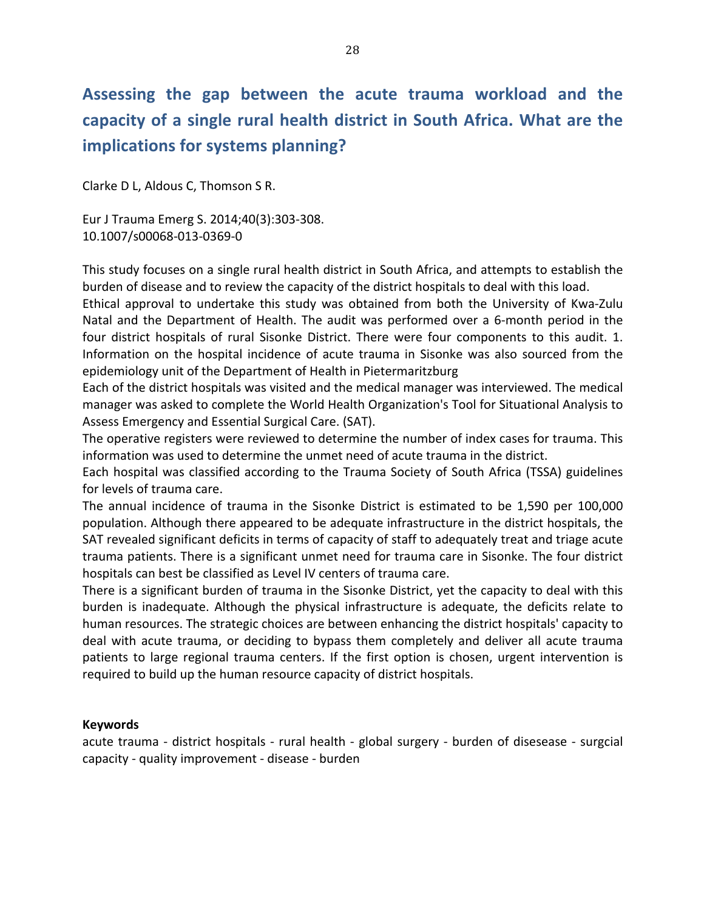# Assessing the gap between the acute trauma workload and the capacity of a single rural health district in South Africa. What are the implications for systems planning?

Clarke D L, Aldous C, Thomson S R.

Eur J Trauma Emerg S. 2014;40(3):303-308. 10.1007/s00068-013-0369-0

This study focuses on a single rural health district in South Africa, and attempts to establish the burden of disease and to review the capacity of the district hospitals to deal with this load.

Ethical approval to undertake this study was obtained from both the University of Kwa-Zulu Natal and the Department of Health. The audit was performed over a 6-month period in the four district hospitals of rural Sisonke District. There were four components to this audit. 1. Information on the hospital incidence of acute trauma in Sisonke was also sourced from the epidemiology unit of the Department of Health in Pietermaritzburg

Each of the district hospitals was visited and the medical manager was interviewed. The medical manager was asked to complete the World Health Organization's Tool for Situational Analysis to Assess Emergency and Essential Surgical Care. (SAT).

The operative registers were reviewed to determine the number of index cases for trauma. This information was used to determine the unmet need of acute trauma in the district.

Each hospital was classified according to the Trauma Society of South Africa (TSSA) guidelines for levels of trauma care.

The annual incidence of trauma in the Sisonke District is estimated to be 1,590 per 100,000 population. Although there appeared to be adequate infrastructure in the district hospitals, the SAT revealed significant deficits in terms of capacity of staff to adequately treat and triage acute trauma patients. There is a significant unmet need for trauma care in Sisonke. The four district hospitals can best be classified as Level IV centers of trauma care.

There is a significant burden of trauma in the Sisonke District, yet the capacity to deal with this burden is inadequate. Although the physical infrastructure is adequate, the deficits relate to human resources. The strategic choices are between enhancing the district hospitals' capacity to deal with acute trauma, or deciding to bypass them completely and deliver all acute trauma patients to large regional trauma centers. If the first option is chosen, urgent intervention is required to build up the human resource capacity of district hospitals.

#### **Keywords**

acute trauma - district hospitals - rural health - global surgery - burden of disesease - surgcial capacity - quality improvement - disease - burden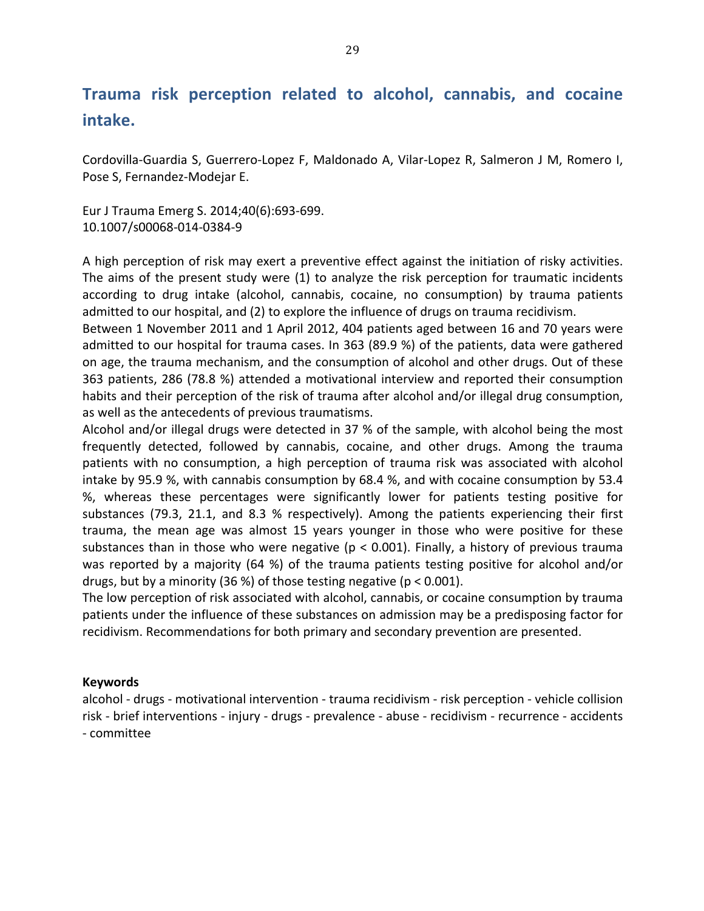### Trauma risk perception related to alcohol, cannabis, and cocaine intake.

Cordovilla-Guardia S, Guerrero-Lopez F, Maldonado A, Vilar-Lopez R, Salmeron J M, Romero I, Pose S, Fernandez-Modejar E.

Eur J Trauma Emerg S. 2014;40(6):693-699. 10.1007/s00068-014-0384-9

A high perception of risk may exert a preventive effect against the initiation of risky activities. The aims of the present study were (1) to analyze the risk perception for traumatic incidents according to drug intake (alcohol, cannabis, cocaine, no consumption) by trauma patients admitted to our hospital, and (2) to explore the influence of drugs on trauma recidivism.

Between 1 November 2011 and 1 April 2012, 404 patients aged between 16 and 70 years were admitted to our hospital for trauma cases. In 363 (89.9 %) of the patients, data were gathered on age, the trauma mechanism, and the consumption of alcohol and other drugs. Out of these 363 patients, 286 (78.8 %) attended a motivational interview and reported their consumption habits and their perception of the risk of trauma after alcohol and/or illegal drug consumption, as well as the antecedents of previous traumatisms.

Alcohol and/or illegal drugs were detected in 37 % of the sample, with alcohol being the most frequently detected, followed by cannabis, cocaine, and other drugs. Among the trauma patients with no consumption, a high perception of trauma risk was associated with alcohol intake by 95.9 %, with cannabis consumption by 68.4 %, and with cocaine consumption by 53.4 %, whereas these percentages were significantly lower for patients testing positive for substances (79.3, 21.1, and 8.3 % respectively). Among the patients experiencing their first trauma, the mean age was almost 15 years younger in those who were positive for these substances than in those who were negative ( $p < 0.001$ ). Finally, a history of previous trauma was reported by a majority (64 %) of the trauma patients testing positive for alcohol and/or drugs, but by a minority (36 %) of those testing negative ( $p < 0.001$ ).

The low perception of risk associated with alcohol, cannabis, or cocaine consumption by trauma patients under the influence of these substances on admission may be a predisposing factor for recidivism. Recommendations for both primary and secondary prevention are presented.

#### **Keywords**

alcohol - drugs - motivational intervention - trauma recidivism - risk perception - vehicle collision risk - brief interventions - injury - drugs - prevalence - abuse - recidivism - recurrence - accidents - committee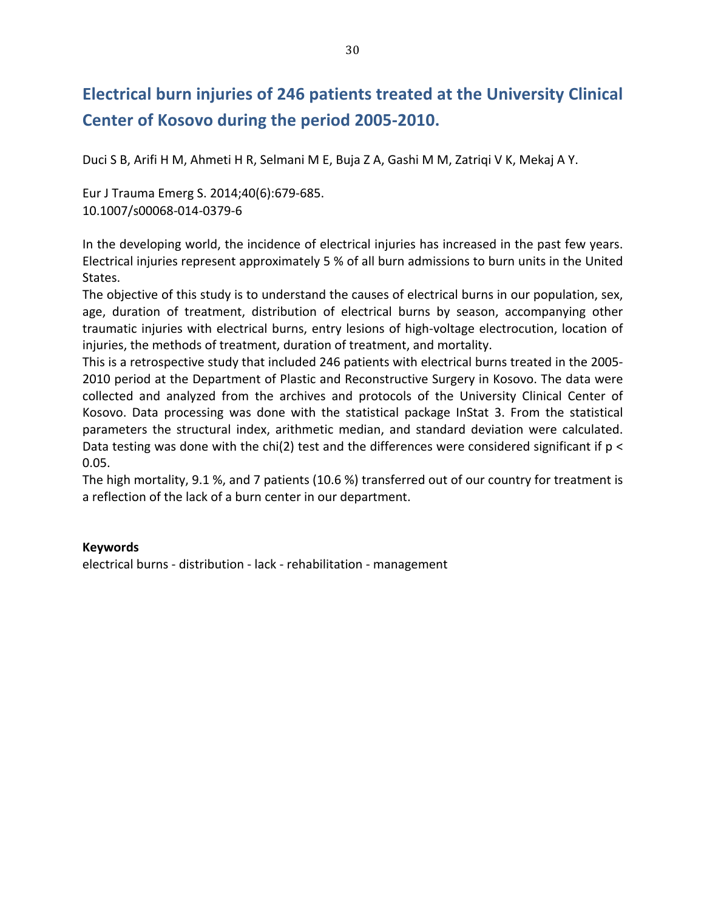## Electrical burn injuries of 246 patients treated at the University Clinical Center of Kosovo during the period 2005-2010.

Duci S B, Arifi H M, Ahmeti H R, Selmani M E, Buja Z A, Gashi M M, Zatrigi V K, Mekaj A Y.

Eur J Trauma Emerg S. 2014;40(6):679-685. 10.1007/s00068-014-0379-6

In the developing world, the incidence of electrical injuries has increased in the past few years. Electrical injuries represent approximately 5 % of all burn admissions to burn units in the United States.

The objective of this study is to understand the causes of electrical burns in our population, sex, age, duration of treatment, distribution of electrical burns by season, accompanying other traumatic injuries with electrical burns, entry lesions of high-voltage electrocution, location of injuries, the methods of treatment, duration of treatment, and mortality.

This is a retrospective study that included 246 patients with electrical burns treated in the 2005-2010 period at the Department of Plastic and Reconstructive Surgery in Kosovo. The data were collected and analyzed from the archives and protocols of the University Clinical Center of Kosovo. Data processing was done with the statistical package InStat 3. From the statistical parameters the structural index, arithmetic median, and standard deviation were calculated. Data testing was done with the chi(2) test and the differences were considered significant if p <  $0.05.$ 

The high mortality, 9.1 %, and 7 patients (10.6 %) transferred out of our country for treatment is a reflection of the lack of a burn center in our department.

#### **Keywords**

electrical burns - distribution - lack - rehabilitation - management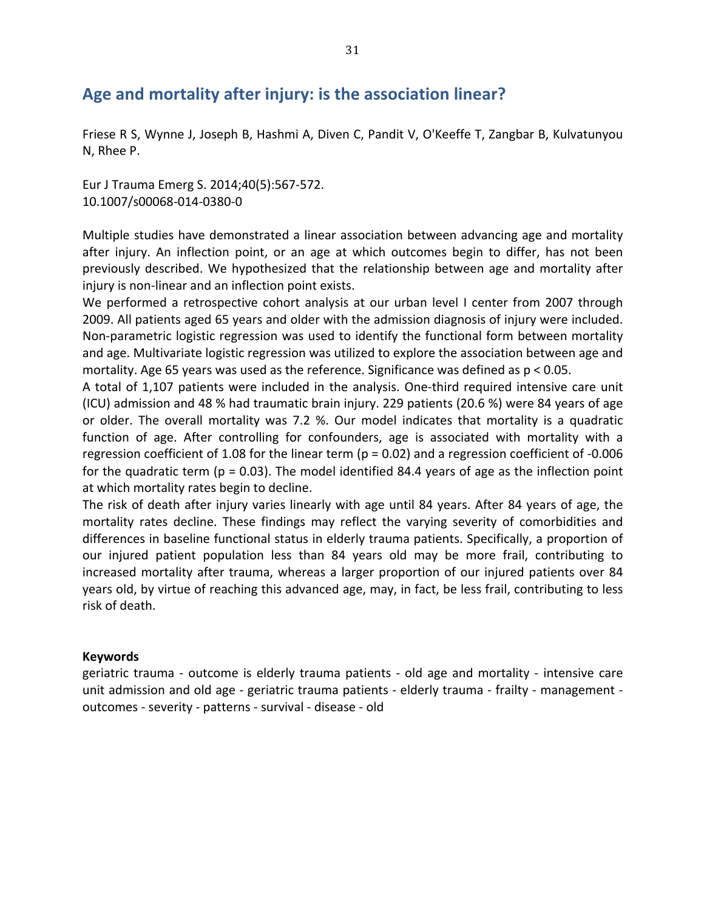### Age and mortality after injury: is the association linear?

Friese R S, Wynne J, Joseph B, Hashmi A, Diven C, Pandit V, O'Keeffe T, Zangbar B, Kulvatunyou N, Rhee P.

Eur J Trauma Emerg S. 2014;40(5):567-572. 10.1007/s00068-014-0380-0

Multiple studies have demonstrated a linear association between advancing age and mortality after injury. An inflection point, or an age at which outcomes begin to differ, has not been previously described. We hypothesized that the relationship between age and mortality after injury is non-linear and an inflection point exists.

We performed a retrospective cohort analysis at our urban level I center from 2007 through 2009. All patients aged 65 years and older with the admission diagnosis of injury were included. Non-parametric logistic regression was used to identify the functional form between mortality and age. Multivariate logistic regression was utilized to explore the association between age and mortality. Age 65 years was used as the reference. Significance was defined as  $p < 0.05$ .

A total of 1,107 patients were included in the analysis. One-third required intensive care unit (ICU) admission and 48 % had traumatic brain injury. 229 patients (20.6 %) were 84 years of age or older. The overall mortality was 7.2 %. Our model indicates that mortality is a quadratic function of age. After controlling for confounders, age is associated with mortality with a regression coefficient of 1.08 for the linear term ( $p = 0.02$ ) and a regression coefficient of -0.006 for the quadratic term ( $p = 0.03$ ). The model identified 84.4 years of age as the inflection point at which mortality rates begin to decline.

The risk of death after injury varies linearly with age until 84 years. After 84 years of age, the mortality rates decline. These findings may reflect the varying severity of comorbidities and differences in baseline functional status in elderly trauma patients. Specifically, a proportion of our injured patient population less than 84 years old may be more frail, contributing to increased mortality after trauma, whereas a larger proportion of our injured patients over 84 years old, by virtue of reaching this advanced age, may, in fact, be less frail, contributing to less risk of death.

#### **Keywords**

geriatric trauma - outcome is elderly trauma patients - old age and mortality - intensive care unit admission and old age - geriatric trauma patients - elderly trauma - frailty - management outcomes - severity - patterns - survival - disease - old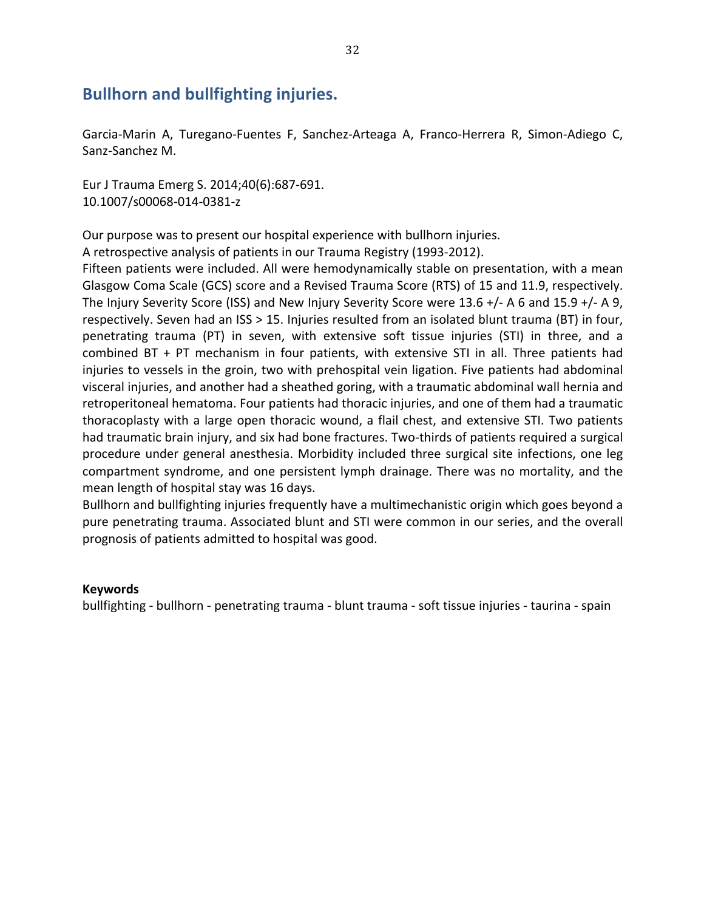### **Bullhorn and bullfighting injuries.**

Garcia-Marin A, Turegano-Fuentes F, Sanchez-Arteaga A, Franco-Herrera R, Simon-Adiego C, Sanz-Sanchez M.

Eur J Trauma Emerg S. 2014;40(6):687-691. 10.1007/s00068-014-0381-z

Our purpose was to present our hospital experience with bullhorn injuries.

A retrospective analysis of patients in our Trauma Registry (1993-2012).

Fifteen patients were included. All were hemodynamically stable on presentation, with a mean Glasgow Coma Scale (GCS) score and a Revised Trauma Score (RTS) of 15 and 11.9, respectively. The Injury Severity Score (ISS) and New Injury Severity Score were 13.6 +/- A 6 and 15.9 +/- A 9, respectively. Seven had an ISS > 15. Injuries resulted from an isolated blunt trauma (BT) in four, penetrating trauma (PT) in seven, with extensive soft tissue injuries (STI) in three, and a combined BT + PT mechanism in four patients, with extensive STI in all. Three patients had injuries to vessels in the groin, two with prehospital vein ligation. Five patients had abdominal visceral injuries, and another had a sheathed goring, with a traumatic abdominal wall hernia and retroperitoneal hematoma. Four patients had thoracic injuries, and one of them had a traumatic thoracoplasty with a large open thoracic wound, a flail chest, and extensive STI. Two patients had traumatic brain injury, and six had bone fractures. Two-thirds of patients required a surgical procedure under general anesthesia. Morbidity included three surgical site infections, one leg compartment syndrome, and one persistent lymph drainage. There was no mortality, and the mean length of hospital stay was 16 days.

Bullhorn and bullfighting injuries frequently have a multimechanistic origin which goes beyond a pure penetrating trauma. Associated blunt and STI were common in our series, and the overall prognosis of patients admitted to hospital was good.

#### **Keywords**

bullfighting - bullhorn - penetrating trauma - blunt trauma - soft tissue injuries - taurina - spain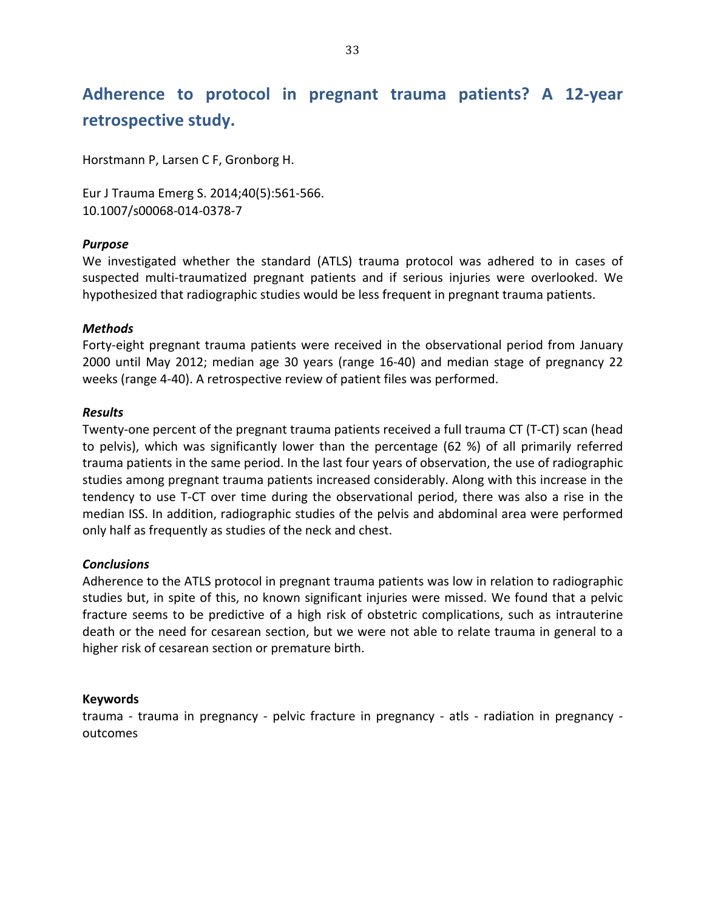## Adherence to protocol in pregnant trauma patients? A 12-year retrospective study.

Horstmann P, Larsen C F, Gronborg H.

Eur J Trauma Emerg S. 2014;40(5):561-566. 10.1007/s00068-014-0378-7

#### *Purpose*

We investigated whether the standard (ATLS) trauma protocol was adhered to in cases of suspected multi-traumatized pregnant patients and if serious injuries were overlooked. We hypothesized that radiographic studies would be less frequent in pregnant trauma patients.

#### *Methods*

Forty-eight pregnant trauma patients were received in the observational period from January 2000 until May 2012; median age 30 years (range 16-40) and median stage of pregnancy 22 weeks (range 4-40). A retrospective review of patient files was performed.

#### *Results*

Twenty-one percent of the pregnant trauma patients received a full trauma CT (T-CT) scan (head to pelvis), which was significantly lower than the percentage (62 %) of all primarily referred trauma patients in the same period. In the last four years of observation, the use of radiographic studies among pregnant trauma patients increased considerably. Along with this increase in the tendency to use T-CT over time during the observational period, there was also a rise in the median ISS. In addition, radiographic studies of the pelvis and abdominal area were performed only half as frequently as studies of the neck and chest.

#### *Conclusions*

Adherence to the ATLS protocol in pregnant trauma patients was low in relation to radiographic studies but, in spite of this, no known significant injuries were missed. We found that a pelvic fracture seems to be predictive of a high risk of obstetric complications, such as intrauterine death or the need for cesarean section, but we were not able to relate trauma in general to a higher risk of cesarean section or premature birth.

#### **Keywords**

trauma - trauma in pregnancy - pelvic fracture in pregnancy - atls - radiation in pregnancy outcomes